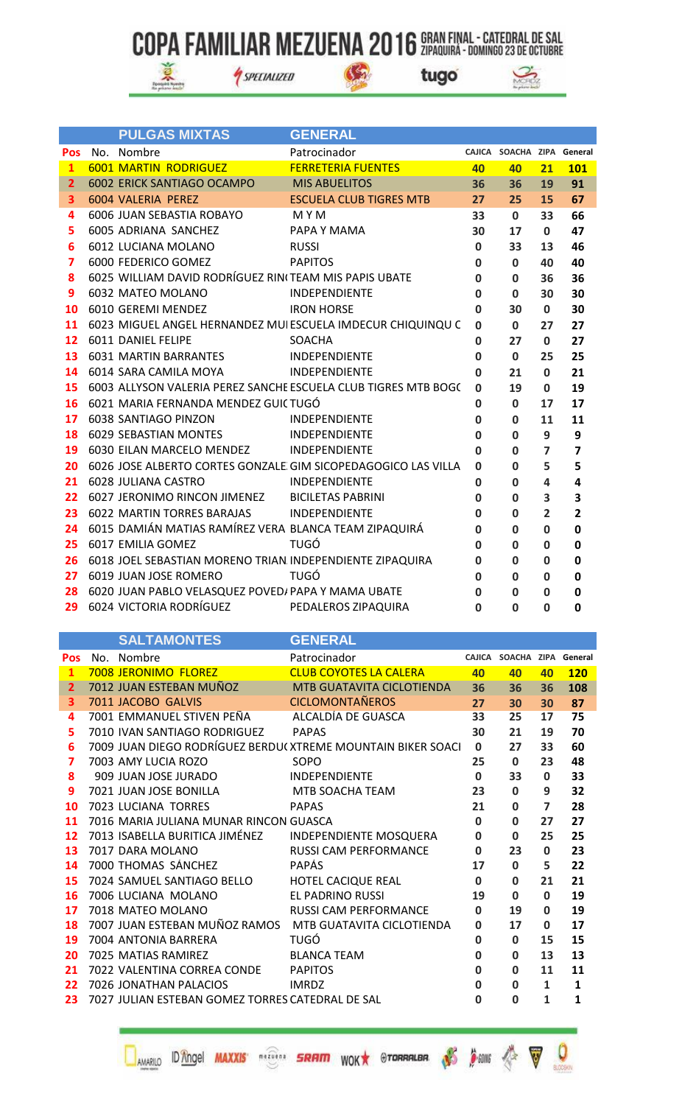$\mathbb{G}$ 



SPECIALIZED



|                | <b>PULGAS MIXTAS</b>                                     | <b>GENERAL</b>                                                 |              |                            |                         |                |
|----------------|----------------------------------------------------------|----------------------------------------------------------------|--------------|----------------------------|-------------------------|----------------|
| <b>Pos</b>     | No. Nombre                                               | Patrocinador                                                   |              | CAJICA SOACHA ZIPA General |                         |                |
| $\mathbf{1}$   | <b>6001 MARTIN RODRIGUEZ</b>                             | <b>FERRETERIA FUENTES</b>                                      | 40           | 40                         | 21                      | <b>101</b>     |
| $\mathbf{2}$   | 6002 ERICK SANTIAGO OCAMPO                               | <b>MIS ABUELITOS</b>                                           | 36           | 36                         | 19                      | 91             |
| 3              | 6004 VALERIA PEREZ                                       | <b>ESCUELA CLUB TIGRES MTB</b>                                 | 27           | 25                         | 15                      | 67             |
| 4              | 6006 JUAN SEBASTIA ROBAYO                                | M Y M                                                          | 33           | $\mathbf{0}$               | 33                      | 66             |
| 5              | 6005 ADRIANA SANCHEZ                                     | PAPA Y MAMA                                                    | 30           | 17                         | $\mathbf{0}$            | 47             |
| 6              | 6012 LUCIANA MOLANO                                      | <b>RUSSI</b>                                                   | $\mathbf 0$  | 33                         | 13                      | 46             |
| $\overline{ }$ | 6000 FEDERICO GOMEZ                                      | <b>PAPITOS</b>                                                 | $\mathbf{0}$ | $\mathbf{0}$               | 40                      | 40             |
| 8              | 6025 WILLIAM DAVID RODRÍGUEZ RIN(TEAM MIS PAPIS UBATE    |                                                                | $\mathbf{0}$ | $\Omega$                   | 36                      | 36             |
| 9              | 6032 MATEO MOLANO                                        | INDEPENDIENTE                                                  | $\mathbf{0}$ | $\mathbf{0}$               | 30                      | 30             |
| 10             | 6010 GEREMI MENDEZ                                       | <b>IRON HORSE</b>                                              | $\mathbf{0}$ | 30                         | $\mathbf{0}$            | 30             |
| 11             |                                                          | 6023 MIGUEL ANGEL HERNANDEZ MUI ESCUELA IMDECUR CHIQUINQU C    | $\mathbf{0}$ | $\mathbf{0}$               | 27                      | 27             |
| 12             | 6011 DANIEL FELIPE                                       | <b>SOACHA</b>                                                  | $\mathbf{0}$ | 27                         | $\mathbf{0}$            | 27             |
| 13             | 6031 MARTIN BARRANTES                                    | <b>INDEPENDIENTE</b>                                           | $\mathbf{0}$ | $\mathbf{0}$               | 25                      | 25             |
| 14             | 6014 SARA CAMILA MOYA                                    | <b>INDEPENDIENTE</b>                                           | $\mathbf{0}$ | 21                         | $\mathbf{0}$            | 21             |
| 15             |                                                          | 6003 ALLYSON VALERIA PEREZ SANCHE ESCUELA CLUB TIGRES MTB BOGC | $\Omega$     | 19                         | $\Omega$                | 19             |
| 16             | 6021 MARIA FERNANDA MENDEZ GUICTUGÓ                      |                                                                | $\mathbf{0}$ | $\Omega$                   | 17                      | 17             |
| 17             | 6038 SANTIAGO PINZON                                     | <b>INDEPENDIENTE</b>                                           | $\mathbf{0}$ | $\Omega$                   | 11                      | 11             |
| 18             | 6029 SEBASTIAN MONTES                                    | <b>INDEPENDIENTE</b>                                           | $\mathbf{0}$ | $\Omega$                   | 9                       | 9              |
| 19             | 6030 EILAN MARCELO MENDEZ INDEPENDIENTE                  |                                                                | $\Omega$     | $\mathbf 0$                | $\overline{z}$          | $\overline{7}$ |
| 20             |                                                          | 6026 JOSE ALBERTO CORTES GONZALE GIM SICOPEDAGOGICO LAS VILLA  | $\Omega$     | $\Omega$                   | 5                       | 5              |
| 21             | 6028 JULIANA CASTRO                                      | <b>INDEPENDIENTE</b>                                           | $\mathbf{0}$ | 0                          | $\overline{\mathbf{A}}$ | 4              |
|                | 22 6027 JERONIMO RINCON JIMENEZ BICILETAS PABRINI        |                                                                | $\mathbf{0}$ | $\mathbf{0}$               | 3                       | 3              |
| 23             | <b>6022 MARTIN TORRES BARAJAS</b>                        | INDEPENDIENTE                                                  | $\mathbf{0}$ | $\mathbf{0}$               | $\overline{2}$          | $\overline{2}$ |
| 24             | 6015 DAMIÁN MATIAS RAMÍREZ VERA BLANCA TEAM ZIPAQUIRÁ    |                                                                | 0            | $\mathbf 0$                | $\mathbf 0$             | $\mathbf 0$    |
| 25             | 6017 EMILIA GOMEZ                                        | TUGÓ                                                           | $\mathbf 0$  | $\mathbf 0$                | $\mathbf 0$             | 0              |
| 26             | 6018 JOEL SEBASTIAN MORENO TRIAN INDEPENDIENTE ZIPAQUIRA |                                                                | 0            | $\mathbf 0$                | $\mathbf 0$             | 0              |
| 27             | 6019 JUAN JOSE ROMERO                                    | <b>TUGÓ</b>                                                    | $\mathbf 0$  | 0                          | 0                       | 0              |
| 28             | 6020 JUAN PABLO VELASQUEZ POVED/ PAPA Y MAMA UBATE       |                                                                | $\mathbf 0$  | 0                          | $\mathbf 0$             | 0              |
| 29             | 6024 VICTORIA RODRÍGUEZ                                  | PEDALEROS ZIPAQUIRA                                            | O            | O                          | $\Omega$                | $\mathbf 0$    |

|                         | <b>SALTAMONTES</b>                                      | <b>GENERAL</b>                                              |              |                            |                         |              |
|-------------------------|---------------------------------------------------------|-------------------------------------------------------------|--------------|----------------------------|-------------------------|--------------|
| <b>Pos</b>              | No. Nombre                                              | Patrocinador                                                |              | CAJICA SOACHA ZIPA General |                         |              |
| $\mathbf{1}$            | <b>7008 JERONIMO FLOREZ</b>                             | <b>CLUB COYOTES LA CALERA</b>                               | 40           | 40                         | 40                      | <b>120</b>   |
| $\overline{2}$          | 7012 JUAN ESTEBAN MUÑOZ                                 | MTB GUATAVITA CICLOTIENDA                                   | 36           | 36                         | 36                      | 108          |
| $\overline{\mathbf{3}}$ | 7011 JACOBO GALVIS                                      | <b>CICLOMONTAÑEROS</b>                                      | 27           | 30                         | 30                      | 87           |
| 4                       | 7001 EMMANUEL STIVEN PEÑA                               | ALCALDÍA DE GUASCA                                          | 33           | 25                         | 17                      | 75           |
| 5                       | 7010 IVAN SANTIAGO RODRIGUEZ                            | <b>PAPAS</b>                                                | 30           | 21                         | 19                      | 70           |
| 6                       |                                                         | 7009 JUAN DIEGO RODRÍGUEZ BERDU(XTREME MOUNTAIN BIKER SOACI | $\mathbf 0$  | 27                         | 33                      | 60           |
| 7                       | 7003 AMY LUCIA ROZO                                     | SOPO                                                        | 25           | $\mathbf{0}$               | 23                      | 48           |
| 8                       | 909 JUAN JOSE JURADO                                    | <b>INDEPENDIENTE</b>                                        | $\mathbf{0}$ | 33                         | $\mathbf{0}$            | 33           |
| 9                       | 7021 JUAN JOSE BONILLA                                  | MTB SOACHA TEAM                                             | 23           | $\mathbf{0}$               | 9                       | 32           |
| 10                      | 7023 LUCIANA TORRES                                     | <b>PAPAS</b>                                                | 21           | $\bf{0}$                   | $\overline{\mathbf{z}}$ | 28           |
| 11                      | 7016 MARIA JULIANA MUNAR RINCON GUASCA                  |                                                             | $\bf{0}$     | $\bf{0}$                   | 27                      | 27           |
| 12                      | 7013 ISABELLA BURITICA JIMÉNEZ                          | INDEPENDIENTE MOSQUERA                                      | $\mathbf 0$  | $\mathbf 0$                | 25                      | 25           |
| 13                      | 7017 DARA MOLANO                                        | <b>RUSSI CAM PERFORMANCE</b>                                | $\mathbf{0}$ | 23                         | $\mathbf 0$             | 23           |
| 14                      | 7000 THOMAS SÁNCHEZ                                     | <b>PAPÁS</b>                                                | 17           | $\mathbf{0}$               | 5                       | 22           |
| 15                      | 7024 SAMUEL SANTIAGO BELLO                              | <b>HOTEL CACIQUE REAL</b>                                   | $\mathbf{0}$ | $\mathbf{0}$               | 21                      | 21           |
| 16                      | 7006 LUCIANA MOLANO                                     | <b>EL PADRINO RUSSI</b>                                     | 19           | $\bf{0}$                   | $\bf{0}$                | 19           |
| 17                      | 7018 MATEO MOLANO                                       | <b>RUSSI CAM PERFORMANCE</b>                                | $\bf{0}$     | 19                         | 0                       | 19           |
| 18                      | 7007 JUAN ESTEBAN MUÑOZ RAMOS MTB GUATAVITA CICLOTIENDA |                                                             | 0            | 17                         | $\bf{0}$                | 17           |
| 19                      | 7004 ANTONIA BARRERA                                    | <b>TUGÓ</b>                                                 | 0            | $\mathbf{0}$               | 15                      | 15           |
| 20                      | 7025 MATIAS RAMIREZ                                     | <b>BLANCA TEAM</b>                                          | $\mathbf 0$  | $\bf{0}$                   | 13                      | 13           |
| 21                      | 7022 VALENTINA CORREA CONDE                             | <b>PAPITOS</b>                                              | $\bf{0}$     | $\bf{0}$                   | 11                      | 11           |
| 22                      | 7026 JONATHAN PALACIOS                                  | <b>IMRDZ</b>                                                | $\bf{0}$     | $\bf{0}$                   | 1                       | $\mathbf{1}$ |
| 23                      | 7027 JULIAN ESTEBAN GOMEZ TORRES CATEDRAL DE SAL        |                                                             | <sup>0</sup> | $\Omega$                   | $\mathbf{1}$            | $\mathbf{1}$ |
|                         |                                                         |                                                             |              |                            |                         |              |

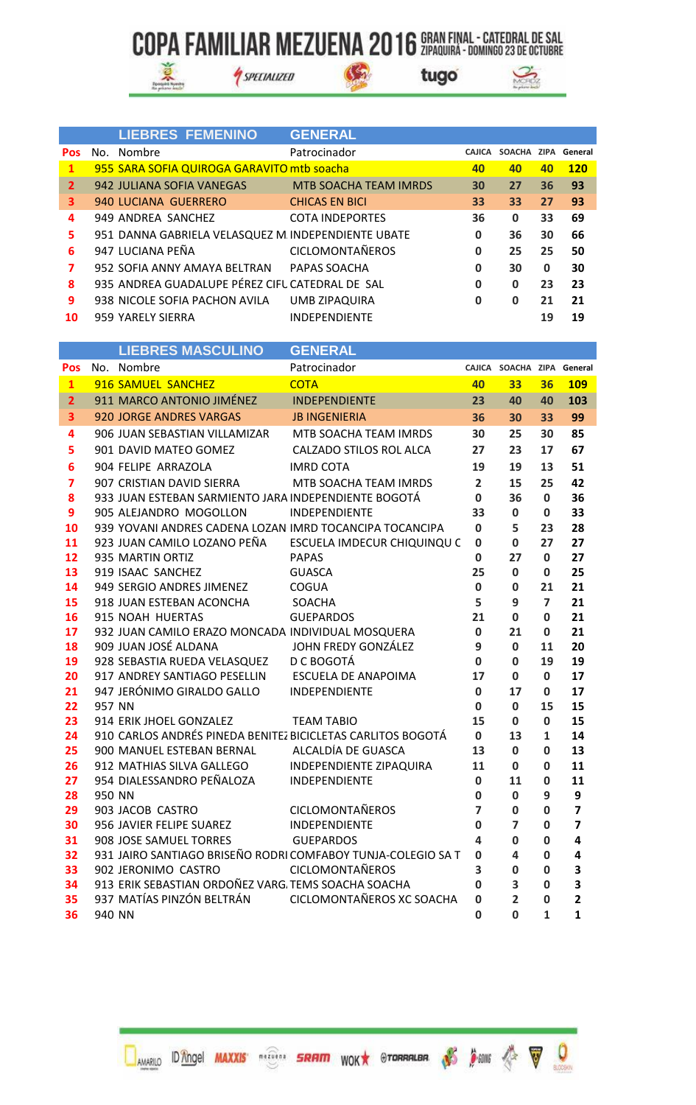SPECIALIZED

 $\mathcal{G}_n$ 





|              | <b>LIEBRES FEMENINO</b>                             | <b>GENERAL</b>               |               |              |             |            |
|--------------|-----------------------------------------------------|------------------------------|---------------|--------------|-------------|------------|
| <b>Pos</b>   | No. Nombre                                          | Patrocinador                 | <b>CAJICA</b> | SOACHA ZIPA  |             | General    |
| $\mathbf{1}$ | 955 SARA SOFIA QUIROGA GARAVITO mtb soacha          |                              | 40            | 40           | 40          | <b>120</b> |
| $\mathbf{2}$ | 942 JULIANA SOFIA VANEGAS                           | <b>MTB SOACHA TEAM IMRDS</b> | 30            | 27           | 36          | 93         |
| 3            | 940 LUCIANA GUERRERO                                | <b>CHICAS EN BICI</b>        | 33            | 33           | 27          | 93         |
| 4            | 949 ANDREA SANCHEZ                                  | <b>COTA INDEPORTES</b>       | 36            | $\mathbf{0}$ | 33          | 69         |
| 5            | 951 DANNA GABRIELA VELASQUEZ M. INDEPENDIENTE UBATE |                              | 0             | 36           | 30          | 66         |
| 6            | 947 LUCIANA PEÑA                                    | <b>CICLOMONTAÑEROS</b>       | 0             | 25           | 25          | 50         |
| 7            | 952 SOFIA ANNY AMAYA BELTRAN                        | PAPAS SOACHA                 | 0             | 30           | $\mathbf 0$ | 30         |
| 8            | 935 ANDREA GUADALUPE PÉREZ CIFU CATEDRAL DE SAL     |                              | 0             | $\mathbf{0}$ | 23          | 23         |
| 9            | 938 NICOLE SOFIA PACHON AVILA                       | UMB ZIPAQUIRA                | 0             | 0            | 21          | 21         |
| 10           | 959 YARELY SIERRA                                   | <b>INDEPENDIENTE</b>         |               |              | 19          | 19         |

|                         |        | <b>LIEBRES MASCULINO</b>                                                         | <b>GENERAL</b>                                               |                            |                            |                |                         |
|-------------------------|--------|----------------------------------------------------------------------------------|--------------------------------------------------------------|----------------------------|----------------------------|----------------|-------------------------|
| Pos                     |        | No. Nombre                                                                       | Patrocinador                                                 |                            | CAJICA SOACHA ZIPA General |                |                         |
| $\mathbf{1}$            |        | 916 SAMUEL SANCHEZ                                                               | <b>COTA</b>                                                  | 40                         | 33                         | 36             | <b>109</b>              |
| $\overline{2}$          |        | 911 MARCO ANTONIO JIMÉNEZ                                                        | <b>INDEPENDIENTE</b>                                         | 23                         | 40                         | 40             | 103                     |
| 3                       |        | 920 JORGE ANDRES VARGAS                                                          | <b>JB INGENIERIA</b>                                         | 36                         | 30                         | 33             | 99                      |
| 4                       |        | 906 JUAN SEBASTIAN VILLAMIZAR                                                    | MTB SOACHA TEAM IMRDS                                        | 30                         | 25                         | 30             | 85                      |
| 5                       |        | 901 DAVID MATEO GOMEZ                                                            | CALZADO STILOS ROL ALCA                                      | 27                         | 23                         | 17             | 67                      |
| 6                       |        | 904 FELIPE ARRAZOLA                                                              | <b>IMRD COTA</b>                                             | 19                         | 19                         | 13             | 51                      |
| $\overline{\mathbf{z}}$ |        | 907 CRISTIAN DAVID SIERRA                                                        | MTB SOACHA TEAM IMRDS                                        | $\overline{2}$             | 15                         | 25             | 42                      |
| 8                       |        | 933 JUAN ESTEBAN SARMIENTO JARA INDEPENDIENTE BOGOTÁ                             |                                                              | $\mathbf 0$                | 36                         | 0              | 36                      |
| 9                       |        | 905 ALEJANDRO MOGOLLON                                                           | INDEPENDIENTE                                                | 33                         | $\mathbf 0$                | 0              | 33                      |
| 10                      |        | 939 YOVANI ANDRES CADENA LOZAN IMRD TOCANCIPA TOCANCIPA                          |                                                              | $\mathbf 0$                | 5                          | 23             | 28                      |
| 11                      |        | 923 JUAN CAMILO LOZANO PEÑA                                                      | ESCUELA IMDECUR CHIQUINQU C                                  | $\mathbf 0$                | $\mathbf{0}$               | 27             | 27                      |
| 12                      |        | 935 MARTIN ORTIZ                                                                 | <b>PAPAS</b>                                                 | $\mathbf 0$                | 27                         | $\mathbf{0}$   | 27                      |
| 13                      |        | 919 ISAAC SANCHEZ                                                                | <b>GUASCA</b>                                                | 25                         | $\mathbf 0$                | 0              | 25                      |
| 14                      |        | 949 SERGIO ANDRES JIMENEZ                                                        | COGUA                                                        | $\mathbf 0$                | 0                          | 21             | 21                      |
| 15                      |        | 918 JUAN ESTEBAN ACONCHA                                                         | SOACHA                                                       | 5                          | 9                          | $\overline{ }$ | 21                      |
| 16                      |        | 915 NOAH HUERTAS                                                                 | <b>GUEPARDOS</b>                                             | 21                         | $\mathbf 0$                | 0              | 21                      |
| 17<br>18                |        | 932 JUAN CAMILO ERAZO MONCADA INDIVIDUAL MOSQUERA<br>909 JUAN JOSÉ ALDANA        | JOHN FREDY GONZÁLEZ                                          | $\mathbf 0$<br>9           | 21                         | 0<br>11        | 21<br>20                |
| 19                      |        | 928 SEBASTIA RUEDA VELASQUEZ                                                     | D C BOGOTÁ                                                   | 0                          | 0<br>0                     | 19             | 19                      |
| 20                      |        | 917 ANDREY SANTIAGO PESELLIN                                                     | ESCUELA DE ANAPOIMA                                          | 17                         | $\mathbf{0}$               | $\mathbf 0$    | 17                      |
| 21                      |        | 947 JERÓNIMO GIRALDO GALLO                                                       | INDEPENDIENTE                                                | $\mathbf 0$                | 17                         | 0              | 17                      |
| 22                      | 957 NN |                                                                                  |                                                              | $\mathbf 0$                | $\mathbf 0$                | 15             | 15                      |
| 23                      |        | 914 ERIK JHOEL GONZALEZ                                                          | <b>TEAM TABIO</b>                                            | 15                         | $\mathbf 0$                | $\mathbf 0$    | 15                      |
| 24                      |        | 910 CARLOS ANDRÉS PINEDA BENITEZ BICICLETAS CARLITOS BOGOTÁ                      |                                                              | $\mathbf 0$                | 13                         | $\mathbf{1}$   | 14                      |
| 25                      |        | 900 MANUEL ESTEBAN BERNAL                                                        | ALCALDÍA DE GUASCA                                           | 13                         | $\mathbf 0$                | $\mathbf 0$    | 13                      |
| 26                      |        | 912 MATHIAS SILVA GALLEGO                                                        | INDEPENDIENTE ZIPAQUIRA                                      | 11                         | $\mathbf 0$                | 0              | 11                      |
| 27                      |        | 954 DIALESSANDRO PEÑALOZA                                                        | INDEPENDIENTE                                                | $\mathbf 0$                | 11                         | 0              | 11                      |
| 28                      | 950 NN |                                                                                  |                                                              | $\mathbf 0$                | $\mathbf 0$                | 9              | 9                       |
| 29                      |        | 903 JACOB CASTRO                                                                 | <b>CICLOMONTAÑEROS</b>                                       | $\overline{7}$             | $\mathbf 0$                | 0              | $\overline{\mathbf{z}}$ |
| 30                      |        | 956 JAVIER FELIPE SUAREZ                                                         | <b>INDEPENDIENTE</b>                                         | $\mathbf 0$                | $\overline{ }$             | 0              | $\overline{7}$          |
| 31                      |        | 908 JOSE SAMUEL TORRES                                                           | <b>GUEPARDOS</b>                                             | 4                          | 0                          | 0              | 4                       |
| 32                      |        |                                                                                  | 931 JAIRO SANTIAGO BRISEÑO RODRI COMFABOY TUNJA-COLEGIO SA T | $\mathbf 0$                | 4                          | 0              | 4                       |
| 33                      |        | 902 JERONIMO CASTRO                                                              | <b>CICLOMONTAÑEROS</b>                                       | 3                          | 0                          | 0              | 3                       |
| 34<br>35                |        | 913 ERIK SEBASTIAN ORDOÑEZ VARG. TEMS SOACHA SOACHA<br>937 MATÍAS PINZÓN BELTRÁN | CICLOMONTAÑEROS XC SOACHA                                    | $\mathbf 0$<br>$\mathbf 0$ | 3<br>$\overline{2}$        | 0<br>0         | 3<br>$\overline{2}$     |
| 36                      | 940 NN |                                                                                  |                                                              | $\mathbf 0$                | $\mathbf 0$                | $\mathbf{1}$   | 1                       |
|                         |        |                                                                                  |                                                              |                            |                            |                |                         |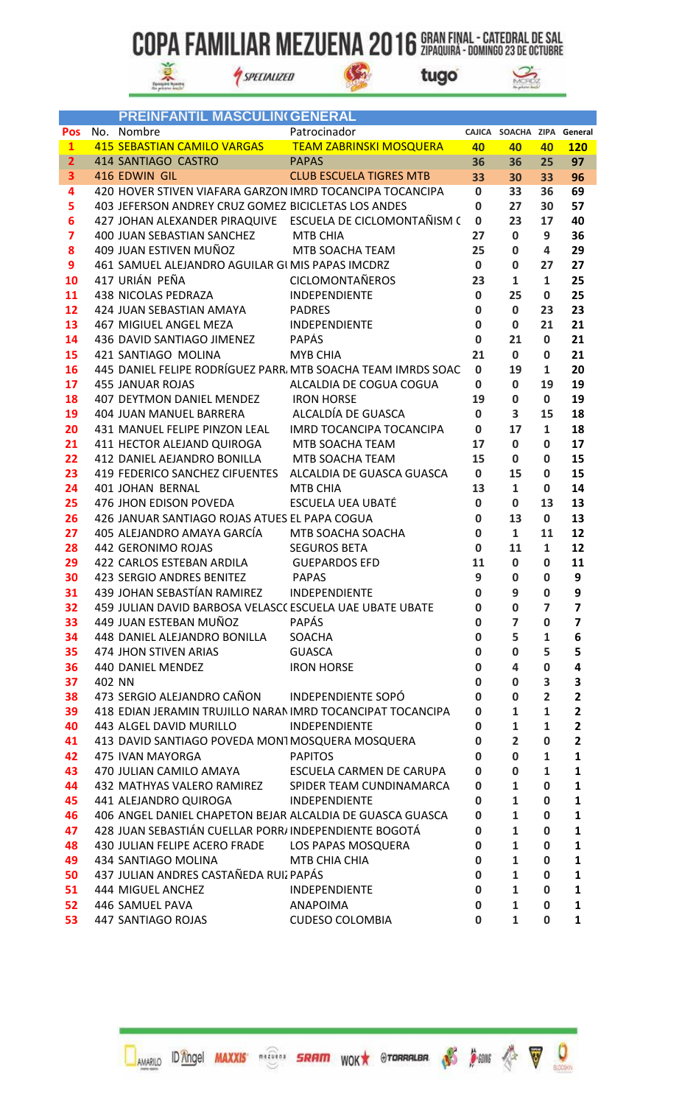$\mathbb{G}$ 



SPECIALIZED



|                         | <b>PREINFANTIL MASCULIN(GENERAL</b>                          |                                          |                            |                            |                    |                         |
|-------------------------|--------------------------------------------------------------|------------------------------------------|----------------------------|----------------------------|--------------------|-------------------------|
| <b>Pos</b>              | No. Nombre                                                   | Patrocinador                             |                            | CAJICA SOACHA ZIPA General |                    |                         |
| $\mathbf{1}$            | 415 SEBASTIAN CAMILO VARGAS                                  | <b>TEAM ZABRINSKI MOSQUERA</b>           | 40                         | 40                         | 40                 | <b>120</b>              |
| $\overline{2}$          | 414 SANTIAGO CASTRO                                          | <b>PAPAS</b>                             | 36                         | 36                         | 25                 | 97                      |
| 3                       | 416 EDWIN GIL                                                | <b>CLUB ESCUELA TIGRES MTB</b>           | 33                         | 30                         | 33                 | 96                      |
| 4                       | 420 HOVER STIVEN VIAFARA GARZON IMRD TOCANCIPA TOCANCIPA     |                                          | $\mathbf{0}$               | 33                         | 36                 | 69                      |
| 5                       | 403 JEFERSON ANDREY CRUZ GOMEZ BICICLETAS LOS ANDES          |                                          | $\mathbf 0$                | 27                         | 30                 | 57                      |
| 6                       | 427 JOHAN ALEXANDER PIRAQUIVE ESCUELA DE CICLOMONTAÑISM (    |                                          | $\mathbf 0$                | 23                         | 17                 | 40                      |
| $\overline{\mathbf{z}}$ | 400 JUAN SEBASTIAN SANCHEZ                                   | MTB CHIA                                 | 27                         | $\bf{0}$                   | 9                  | 36                      |
| 8                       | 409 JUAN ESTIVEN MUÑOZ                                       | MTB SOACHA TEAM                          | 25                         | $\mathbf 0$                | 4                  | 29                      |
| 9                       | 461 SAMUEL ALEJANDRO AGUILAR GI MIS PAPAS IMCDRZ             |                                          | $\mathbf{0}$               | $\mathbf 0$                | 27                 | 27                      |
| 10                      | 417 URIÁN PEÑA                                               | <b>CICLOMONTAÑEROS</b>                   | 23                         | $\mathbf{1}$               | $\mathbf{1}$       | 25                      |
| 11                      | 438 NICOLAS PEDRAZA                                          | INDEPENDIENTE                            | $\mathbf 0$                | 25                         | $\mathbf 0$        | 25                      |
| 12                      | 424 JUAN SEBASTIAN AMAYA                                     | <b>PADRES</b>                            | $\bf{0}$                   | $\mathbf 0$                | 23                 | 23                      |
| 13                      | 467 MIGIUEL ANGEL MEZA                                       | <b>INDEPENDIENTE</b>                     | $\bf{0}$                   | $\mathbf 0$                | 21                 | 21                      |
| 14                      | 436 DAVID SANTIAGO JIMENEZ                                   | <b>PAPÁS</b>                             | $\bf{0}$                   | 21                         | $\mathbf 0$        | 21                      |
| 15                      | 421 SANTIAGO MOLINA                                          | <b>MYB CHIA</b>                          | 21                         | $\mathbf 0$                | 0                  | 21                      |
| 16                      | 445 DANIEL FELIPE RODRÍGUEZ PARR, MTB SOACHA TEAM IMRDS SOAC |                                          | $\mathbf{0}$               | 19                         | 1                  | 20                      |
| 17                      | <b>455 JANUAR ROJAS</b>                                      | ALCALDIA DE COGUA COGUA                  | 0                          | $\mathbf 0$                | 19                 | 19                      |
| 18                      | 407 DEYTMON DANIEL MENDEZ                                    | <b>IRON HORSE</b>                        | 19                         | $\mathbf 0$                | 0                  | 19                      |
| 19                      | 404 JUAN MANUEL BARRERA                                      | ALCALDÍA DE GUASCA                       | $\mathbf 0$                | 3                          | 15                 | 18                      |
| 20                      | 431 MANUEL FELIPE PINZON LEAL                                | IMRD TOCANCIPA TOCANCIPA                 | $\mathbf{0}$               | 17                         | $\mathbf{1}$       | 18                      |
| 21                      | 411 HECTOR ALEJAND QUIROGA MTB SOACHA TEAM                   |                                          | 17                         | $\mathbf 0$                | 0                  | 17                      |
| 22                      | 412 DANIEL AEJANDRO BONILLA                                  | MTB SOACHA TEAM                          | 15                         | $\mathbf 0$                | 0                  | 15                      |
| 23                      | 419 FEDERICO SANCHEZ CIFUENTES                               | ALCALDIA DE GUASCA GUASCA                | $\mathbf 0$                | 15                         | 0                  | 15                      |
| 24                      | 401 JOHAN BERNAL                                             | MTB CHIA                                 | 13                         | $\mathbf{1}$               | $\mathbf 0$        | 14                      |
| 25                      | 476 JHON EDISON POVEDA                                       | <b>ESCUELA UEA UBATÉ</b>                 | $\mathbf 0$                | $\mathbf 0$                | 13                 | 13                      |
| 26                      | 426 JANUAR SANTIAGO ROJAS ATUES EL PAPA COGUA                |                                          | $\mathbf 0$                | 13                         | 0                  | 13                      |
| 27<br>28                | 405 ALEJANDRO AMAYA GARCÍA<br>442 GERONIMO ROJAS             | MTB SOACHA SOACHA<br><b>SEGUROS BETA</b> | $\mathbf 0$<br>$\mathbf 0$ | $\mathbf{1}$<br>11         | 11<br>$\mathbf{1}$ | 12<br>12                |
| 29                      | 422 CARLOS ESTEBAN ARDILA                                    | <b>GUEPARDOS EFD</b>                     | 11                         | $\mathbf 0$                | 0                  | 11                      |
| 30                      | 423 SERGIO ANDRES BENITEZ                                    | <b>PAPAS</b>                             | 9                          | 0                          | 0                  | 9                       |
| 31                      | 439 JOHAN SEBASTÍAN RAMIREZ INDEPENDIENTE                    |                                          | 0                          | 9                          | 0                  | 9                       |
| 32                      | 459 JULIAN DAVID BARBOSA VELASCC ESCUELA UAE UBATE UBATE     |                                          | 0                          | 0                          | $\overline{ }$     | $\overline{ }$          |
| 33                      | 449 JUAN ESTEBAN MUÑOZ                                       | <b>PAPÁS</b>                             | 0                          | 7                          | 0                  | 7                       |
| 34                      | 448 DANIEL ALEJANDRO BONILLA                                 | SOACHA                                   | $\mathbf 0$                | 5                          | $\mathbf{1}$       | 6                       |
| 35                      | 474 JHON STIVEN ARIAS                                        | <b>GUASCA</b>                            | $\mathbf 0$                | $\mathbf 0$                | 5                  | 5                       |
| 36                      | 440 DANIEL MENDEZ                                            | <b>IRON HORSE</b>                        | 0                          | 4                          | 0                  | 4                       |
| 37                      | 402 NN                                                       |                                          | 0                          | $\mathbf 0$                | 3                  | 3                       |
| 38                      | 473 SERGIO ALEJANDRO CAÑON INDEPENDIENTE SOPÓ                |                                          | $\mathbf 0$                | 0                          | $\overline{2}$     | $\overline{\mathbf{2}}$ |
| 39                      | 418 EDIAN JERAMIN TRUJILLO NARAN IMRD TOCANCIPAT TOCANCIPA   |                                          | $\mathbf 0$                | $\mathbf{1}$               | 1                  | $\overline{2}$          |
| 40                      | 443 ALGEL DAVID MURILLO                                      | INDEPENDIENTE                            | 0                          | $\mathbf{1}$               | $\mathbf{1}$       | $\overline{\mathbf{2}}$ |
| 41                      | 413 DAVID SANTIAGO POVEDA MON1MOSQUERA MOSQUERA              |                                          | 0                          | $\overline{2}$             | 0                  | $\overline{\mathbf{2}}$ |
| 42                      | 475 IVAN MAYORGA                                             | <b>PAPITOS</b>                           | $\mathbf 0$                | $\bf{0}$                   | $\mathbf{1}$       | $\mathbf{1}$            |
| 43                      | 470 JULIAN CAMILO AMAYA ESCUELA CARMEN DE CARUPA             |                                          | $\mathbf 0$                | $\mathbf 0$                | 1                  | $\mathbf{1}$            |
| 44                      | 432 MATHYAS VALERO RAMIREZ                                   | SPIDER TEAM CUNDINAMARCA                 | $\mathbf{0}$               | $\mathbf{1}$               | 0                  | 1                       |
| 45                      | 441 ALEJANDRO QUIROGA                                        | INDEPENDIENTE                            | 0                          | $\mathbf{1}$               | 0                  | $\mathbf{1}$            |
| 46                      | 406 ANGEL DANIEL CHAPETON BEJAR ALCALDIA DE GUASCA GUASCA    |                                          | 0                          | $\mathbf{1}$               | 0                  | $\mathbf{1}$            |
| 47                      | 428 JUAN SEBASTIÁN CUELLAR PORR/INDEPENDIENTE BOGOTÁ         |                                          | $\mathbf 0$                | $\mathbf{1}$               | 0                  | 1                       |
| 48                      | 430 JULIAN FELIPE ACERO FRADE LOS PAPAS MOSQUERA             |                                          | 0                          | $\mathbf{1}$               | 0                  | $\mathbf{1}$            |
| 49                      | 434 SANTIAGO MOLINA                                          | MTB CHIA CHIA                            | $\mathbf 0$                | $\mathbf{1}$               | 0                  | $\mathbf{1}$            |
| 50                      | 437 JULIAN ANDRES CASTAÑEDA RUIZ PAPÁS                       |                                          | $\mathbf 0$                | $\mathbf{1}$               | 0                  | 1                       |
| 51                      | 444 MIGUEL ANCHEZ                                            | <b>INDEPENDIENTE</b>                     | 0                          | $\mathbf{1}$               | 0                  | $\mathbf{1}$            |
| 52                      | 446 SAMUEL PAVA                                              | ANAPOIMA                                 | $\mathbf 0$                | $\mathbf{1}$               | 0                  | $\mathbf{1}$            |
| 53                      | 447 SANTIAGO ROJAS                                           | <b>CUDESO COLOMBIA</b>                   | 0                          | $\mathbf{1}$               | 0                  | 1                       |

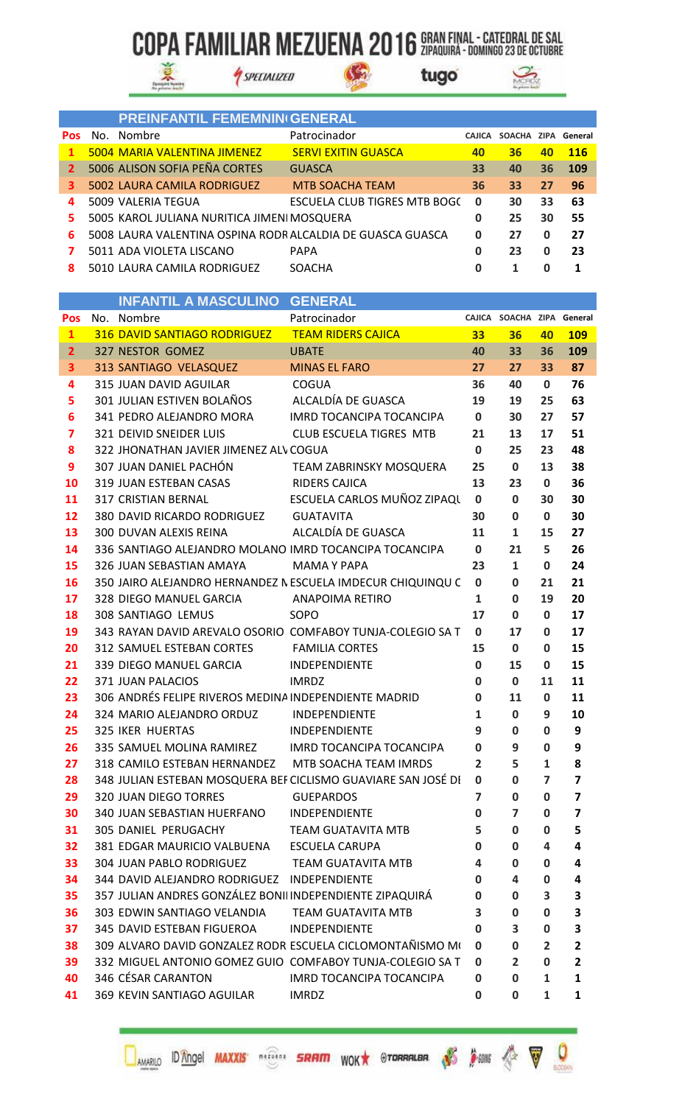$\mathbb{G}$ 



SPECIALIZED



|              |     | <b>PREINFANTIL FEMEMNIN(GENERAL</b>                        |                              |               |             |    |            |
|--------------|-----|------------------------------------------------------------|------------------------------|---------------|-------------|----|------------|
| <b>Pos</b>   | No. | Nombre                                                     | Patrocinador                 | <b>CAJICA</b> | SOACHA ZIPA |    | General    |
| 1.           |     | 5004 MARIA VALENTINA JIMENEZ                               | <b>SERVI EXITIN GUASCA</b>   | 40            | 36          | 40 | <b>116</b> |
| $\mathbf{2}$ |     | 5006 ALISON SOFIA PEÑA CORTES                              | <b>GUASCA</b>                | 33            | 40          | 36 | 109        |
| з.           |     | 5002 LAURA CAMILA RODRIGUEZ                                | <b>MTB SOACHA TEAM</b>       | 36            | 33          | 27 | 96         |
| 4            |     | 5009 VALERIA TEGUA                                         | ESCUELA CLUB TIGRES MTB BOGC | 0             | 30          | 33 | 63         |
| 5.           |     | 5005 KAROL JULIANA NURITICA JIMENI MOSQUERA                |                              | 0             | 25          | 30 | 55         |
| 6.           |     | 5008 LAURA VALENTINA OSPINA RODR ALCALDIA DE GUASCA GUASCA |                              | 0             | 27          | 0  | 27         |
|              |     | 5011 ADA VIOLETA LISCANO                                   | <b>PAPA</b>                  | 0             | 23          | 0  | 23         |
| 8            |     | 5010 LAURA CAMILA RODRIGUEZ                                | <b>SOACHA</b>                |               |             | 0  |            |

|                         | <b>INFANTIL A MASCULINO</b>                              | GENERAL                                                       |                |                            |                |                         |
|-------------------------|----------------------------------------------------------|---------------------------------------------------------------|----------------|----------------------------|----------------|-------------------------|
| Pos                     | No. Nombre                                               | Patrocinador                                                  |                | CAJICA SOACHA ZIPA General |                |                         |
| $\mathbf{1}$            | 316 DAVID SANTIAGO RODRIGUEZ                             | <b>TEAM RIDERS CAJICA</b>                                     | 33             | 36                         | 40             | <b>109</b>              |
| $\overline{2}$          | 327 NESTOR GOMEZ                                         | <b>UBATE</b>                                                  | 40             | 33                         | 36             | 109                     |
| 3                       | 313 SANTIAGO VELASQUEZ                                   | <b>MINAS EL FARO</b>                                          | 27             | 27                         | 33             | 87                      |
| 4                       | 315 JUAN DAVID AGUILAR                                   | <b>COGUA</b>                                                  | 36             | 40                         | $\mathbf 0$    | 76                      |
| 5                       | 301 JULIAN ESTIVEN BOLAÑOS                               | ALCALDÍA DE GUASCA                                            | 19             | 19                         | 25             | 63                      |
| 6                       | 341 PEDRO ALEJANDRO MORA                                 | IMRD TOCANCIPA TOCANCIPA                                      | $\mathbf 0$    | 30                         | 27             | 57                      |
| $\overline{\mathbf{z}}$ | 321 DEIVID SNEIDER LUIS                                  | CLUB ESCUELA TIGRES MTB                                       | 21             | 13                         | 17             | 51                      |
| 8                       | 322 JHONATHAN JAVIER JIMENEZ ALV COGUA                   |                                                               | $\mathbf 0$    | 25                         | 23             | 48                      |
| 9                       | 307 JUAN DANIEL PACHÓN                                   | TEAM ZABRINSKY MOSQUERA                                       | 25             | $\mathbf 0$                | 13             | 38                      |
| 10                      | 319 JUAN ESTEBAN CASAS                                   | <b>RIDERS CAJICA</b>                                          | 13             | 23                         | $\mathbf{0}$   | 36                      |
| 11                      | 317 CRISTIAN BERNAL                                      | ESCUELA CARLOS MUÑOZ ZIPAQU                                   | $\mathbf 0$    | $\mathbf 0$                | 30             | 30                      |
| 12                      | 380 DAVID RICARDO RODRIGUEZ                              | <b>GUATAVITA</b>                                              | 30             | $\mathbf 0$                | $\mathbf{0}$   | 30                      |
| 13                      | 300 DUVAN ALEXIS REINA                                   | ALCALDÍA DE GUASCA                                            | 11             | $\mathbf{1}$               | 15             | 27                      |
| 14                      | 336 SANTIAGO ALEJANDRO MOLANO IMRD TOCANCIPA TOCANCIPA   |                                                               | $\mathbf 0$    | 21                         | 5              | 26                      |
| 15                      | 326 JUAN SEBASTIAN AMAYA                                 | <b>MAMA Y PAPA</b>                                            | 23             | $\mathbf{1}$               | 0              | 24                      |
| 16                      |                                                          | 350 JAIRO ALEJANDRO HERNANDEZ NESCUELA IMDECUR CHIQUINQU C    | 0              | $\mathbf 0$                | 21             | 21                      |
| 17                      | 328 DIEGO MANUEL GARCIA                                  | ANAPOIMA RETIRO                                               | 1              | $\mathbf 0$                | 19             | 20                      |
| 18                      | 308 SANTIAGO LEMUS                                       | SOPO                                                          | 17             | 0                          | $\mathbf 0$    | 17                      |
| 19                      |                                                          | 343 RAYAN DAVID AREVALO OSORIO COMFABOY TUNJA-COLEGIO SA T    | $\mathbf 0$    | 17                         | $\mathbf 0$    | 17                      |
| 20                      | 312 SAMUEL ESTEBAN CORTES                                | <b>FAMILIA CORTES</b>                                         | 15             | $\mathbf 0$                | $\mathbf 0$    | 15                      |
| 21                      | 339 DIEGO MANUEL GARCIA                                  | INDEPENDIENTE                                                 | $\mathbf 0$    | 15                         | $\mathbf 0$    | 15                      |
| 22                      | 371 JUAN PALACIOS                                        | <b>IMRDZ</b>                                                  | $\mathbf 0$    | $\mathbf 0$                | 11             | 11                      |
| 23                      | 306 ANDRÉS FELIPE RIVEROS MEDINA INDEPENDIENTE MADRID    |                                                               | 0              | 11                         | $\mathbf 0$    | 11                      |
| 24                      | 324 MARIO ALEJANDRO ORDUZ                                | INDEPENDIENTE                                                 | $\mathbf{1}$   | $\mathbf 0$                | 9              | 10                      |
| 25                      | <b>325 IKER HUERTAS</b>                                  | INDEPENDIENTE                                                 | 9              | 0                          | 0              | 9                       |
| 26                      | 335 SAMUEL MOLINA RAMIREZ                                | <b>IMRD TOCANCIPA TOCANCIPA</b>                               | $\mathbf 0$    | 9                          | $\mathbf 0$    | 9                       |
| 27                      | 318 CAMILO ESTEBAN HERNANDEZ                             | MTB SOACHA TEAM IMRDS                                         | $\overline{2}$ | 5                          | 1              | 8                       |
| 28                      |                                                          | 348 JULIAN ESTEBAN MOSQUERA BEF CICLISMO GUAVIARE SAN JOSÉ DI | 0              | $\mathbf 0$                | $\overline{ }$ | $\overline{\mathbf{z}}$ |
| 29                      | 320 JUAN DIEGO TORRES                                    | <b>GUEPARDOS</b>                                              | $\overline{7}$ | $\mathbf 0$                | $\mathbf 0$    | $\overline{\mathbf{z}}$ |
| 30                      | 340 JUAN SEBASTIAN HUERFANO                              | INDEPENDIENTE                                                 | 0              | 7                          | 0              | 7                       |
| 31                      | 305 DANIEL PERUGACHY                                     | <b>TEAM GUATAVITA MTB</b>                                     | 5              | 0                          | 0              | 5                       |
| 32                      | 381 EDGAR MAURICIO VALBUENA                              | <b>ESCUELA CARUPA</b>                                         | 0              | 0                          | 4              | 4                       |
| 33                      | <b>304 JUAN PABLO RODRIGUEZ</b>                          | TEAM GUATAVITA MTB                                            | 4              | 0                          | 0              | 4                       |
| 34                      | 344 DAVID ALEJANDRO RODRIGUEZ INDEPENDIENTE              |                                                               | 0              | 4                          | 0              | 4                       |
| 35                      | 357 JULIAN ANDRES GONZÁLEZ BONII INDEPENDIENTE ZIPAQUIRÁ |                                                               | 0              | 0                          | 3              | 3                       |
| 36                      | 303 EDWIN SANTIAGO VELANDIA                              | <b>TEAM GUATAVITA MTB</b>                                     | 3              | 0                          | 0              | З                       |
| 37                      | 345 DAVID ESTEBAN FIGUEROA                               | <b>INDEPENDIENTE</b>                                          | 0              | 3                          | 0              | 3                       |
| 38                      |                                                          | 309 ALVARO DAVID GONZALEZ RODR ESCUELA CICLOMONTAÑISMO M(     | 0              | $\mathbf 0$                | $\overline{2}$ | $\overline{\mathbf{2}}$ |
| 39                      |                                                          | 332 MIGUEL ANTONIO GOMEZ GUIO COMFABOY TUNJA-COLEGIO SA T     | 0              | $\overline{2}$             | 0              | 2                       |
| 40                      | 346 CÉSAR CARANTON                                       | IMRD TOCANCIPA TOCANCIPA                                      | 0              | 0                          | 1              | 1                       |
| 41                      | 369 KEVIN SANTIAGO AGUILAR                               | <b>IMRDZ</b>                                                  | 0              | $\bf{0}$                   | $\mathbf{1}$   | 1                       |

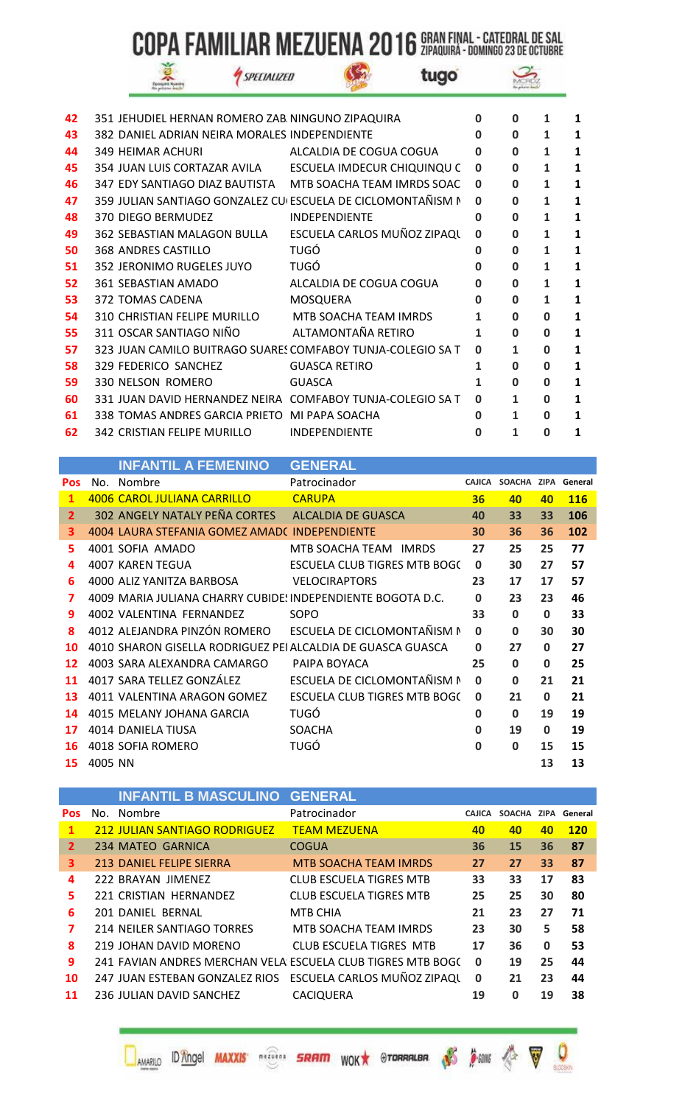SPECIALIZED

S

|  | шx<br>. |  |
|--|---------|--|

tugo



| 42 | 351 JEHUDIEL HERNAN ROMERO ZAB NINGUNO ZIPAQUIRA            |                         | 0            | $\Omega$     | 1            |   |
|----|-------------------------------------------------------------|-------------------------|--------------|--------------|--------------|---|
| 43 | 382 DANIEL ADRIAN NEIRA MORALES INDEPENDIENTE               |                         | 0            | $\Omega$     | 1            | 1 |
| 44 | 349 HEIMAR ACHURI                                           | ALCALDIA DE COGUA COGUA | 0            | $\bf{0}$     | $\mathbf{1}$ | 1 |
| 45 | 354 JUAN LUIS CORTAZAR AVILA ESCUELA IMDECUR CHIQUINQU C    |                         | <sup>0</sup> | $\bf{0}$     | 1            | 1 |
| 46 | 347 EDY SANTIAGO DIAZ BAUTISTA MTB SOACHA TEAM IMRDS SOAC   |                         | 0            | $\Omega$     | 1            | 1 |
| 47 | 359 JULIAN SANTIAGO GONZALEZ CU ESCUELA DE CICLOMONTAÑISM N |                         | 0            | $\bf{0}$     | 1            | 1 |
| 48 | 370 DIEGO BERMUDEZ                                          | <b>INDEPENDIENTE</b>    | 0            | $\Omega$     | $\mathbf{1}$ | 1 |
| 49 | 362 SEBASTIAN MALAGON BULLA ESCUELA CARLOS MUÑOZ ZIPAQU     |                         | <sup>0</sup> | $\Omega$     | $\mathbf{1}$ | 1 |
| 50 | 368 ANDRES CASTILLO                                         | <b>TUGÓ</b>             | 0            | $\bf{0}$     | 1            | 1 |
| 51 | 352 JERONIMO RUGELES JUYO                                   | <b>TUGÓ</b>             | 0            | $\bf{0}$     | 1            | 1 |
| 52 | 361 SEBASTIAN AMADO                                         | ALCALDIA DE COGUA COGUA | 0            | $\bf{0}$     | 1            | 1 |
| 53 | 372 TOMAS CADENA                                            | MOSQUERA                | $\mathbf 0$  | 0            | 1            |   |
| 54 | 310 CHRISTIAN FELIPE MURILLO MTB SOACHA TEAM IMRDS          |                         | 1            | $\bf{0}$     | $\bf{0}$     | 1 |
| 55 | 311 OSCAR SANTIAGO NIÑO                                     | ALTAMONTAÑA RETIRO      | 1            | $\Omega$     | 0            | 1 |
| 57 | 323 JUAN CAMILO BUITRAGO SUARES COMFABOY TUNJA-COLEGIO SA T |                         | <sup>0</sup> | $\mathbf{1}$ | $\Omega$     | 1 |
| 58 | 329 FEDERICO SANCHEZ                                        | <b>GUASCA RETIRO</b>    | 1            | $\Omega$     | 0            | 1 |
| 59 | 330 NELSON ROMERO                                           | <b>GUASCA</b>           | 1            | $\Omega$     | $\bf{0}$     | 1 |
| 60 | 331 JUAN DAVID HERNANDEZ NEIRA COMFABOY TUNJA-COLEGIO SA T  |                         | <sup>0</sup> | $\mathbf{1}$ | $\Omega$     |   |
| 61 | 338 TOMAS ANDRES GARCIA PRIETO MI PAPA SOACHA               |                         | 0            | 1            | 0            | 1 |
| 62 | 342 CRISTIAN FELIPE MURILLO                                 | <b>INDEPENDIENTE</b>    | O            | 1            | O            | 1 |

|                |         | <b>INFANTIL A FEMENINO</b>                                  | <b>GENERAL</b>                                           |              |                            |              |            |
|----------------|---------|-------------------------------------------------------------|----------------------------------------------------------|--------------|----------------------------|--------------|------------|
| <b>Pos</b>     |         | No. Nombre                                                  | Patrocinador                                             |              | CAJICA SOACHA ZIPA General |              |            |
| $\mathbf{1}$   |         | 4006 CAROL JULIANA CARRILLO                                 | <b>CARUPA</b>                                            | 36           | 40                         | 40           | <b>116</b> |
| $\overline{2}$ |         | 302 ANGELY NATALY PEÑA CORTES ALCALDIA DE GUASCA            |                                                          | 40           | 33                         | 33           | 106        |
| з.             |         | 4004 LAURA STEFANIA GOMEZ AMAD(INDEPENDIENTE                |                                                          | 30           | 36                         | 36           | 102        |
| 5.             |         | 4001 SOFIA AMADO                                            | MTB SOACHA TEAM IMRDS                                    | 27           | 25                         | 25           | 77         |
| 4              |         | <b>4007 KAREN TEGUA</b>                                     | ESCUELA CLUB TIGRES MTB BOGC                             | $\Omega$     | 30                         | 27           | 57         |
| 6              |         | 4000 ALIZ YANITZA BARBOSA                                   | <b>VELOCIRAPTORS</b>                                     | 23           | 17                         | 17           | 57         |
| 7              |         | 4009 MARIA JULIANA CHARRY CUBIDE! INDEPENDIENTE BOGOTA D.C. |                                                          | $\bf{0}$     | 23                         | 23           | 46         |
| 9              |         | 4002 VALENTINA FERNANDEZ                                    | SOPO                                                     | 33           | 0                          | 0            | 33         |
| 8              |         |                                                             | 4012 ALEJANDRA PINZÓN ROMERO ESCUELA DE CICLOMONTAÑISM N | 0            | $\Omega$                   | 30           | 30         |
| 10             |         | 4010 SHARON GISELLA RODRIGUEZ PEI ALCALDIA DE GUASCA GUASCA |                                                          | $\bf{0}$     | 27                         | $\mathbf{0}$ | 27         |
| 12             |         | 4003 SARA ALEXANDRA CAMARGO                                 | PAIPA BOYACA                                             | 25           | 0                          | 0            | 25         |
| 11             |         | 4017 SARA TELLEZ GONZÁLEZ                                   | ESCUELA DE CICLOMONTAÑISM N                              | <sup>0</sup> | $\Omega$                   | 21           | 21         |
| 13             |         | 4011 VALENTINA ARAGON GOMEZ                                 | ESCUELA CLUB TIGRES MTB BOGC                             | 0            | 21                         | $\bf{0}$     | 21         |
| 14             |         | 4015 MELANY JOHANA GARCIA                                   | <b>TUGÓ</b>                                              | 0            | 0                          | 19           | 19         |
| 17             |         | 4014 DANIELA TIUSA                                          | SOACHA                                                   | <sup>0</sup> | 19                         | $\bf{0}$     | 19         |
| 16             |         | 4018 SOFIA ROMERO                                           | TUGÓ                                                     | <sup>0</sup> | 0                          | 15           | 15         |
| 15             | 4005 NN |                                                             |                                                          |              |                            | 13           | 13         |

|            |     | <b>INFANTIL B MASCULINO GENERAL</b>  |                                                             |               |               |          |            |
|------------|-----|--------------------------------------|-------------------------------------------------------------|---------------|---------------|----------|------------|
| <b>Pos</b> | No. | Nombre                               | Patrocinador                                                | <b>CAJICA</b> | <b>SOACHA</b> | ZIPA     | General    |
| 1          |     | <b>212 JULIAN SANTIAGO RODRIGUEZ</b> | <b>TEAM MEZUENA</b>                                         | 40            | 40            | 40       | <b>120</b> |
| 2          |     | 234 MATEO GARNICA                    | COGUA                                                       | 36            | 15            | 36       | 87         |
| 3          |     | 213 DANIEL FELIPE SIERRA             | <b>MTB SOACHA TEAM IMRDS</b>                                | 27            | 27            | 33       | 87         |
| 4          |     | 222 BRAYAN JIMENEZ                   | <b>CLUB ESCUELA TIGRES MTB</b>                              | 33            | 33            | 17       | 83         |
| 5.         |     | 221 CRISTIAN HERNANDEZ               | <b>CLUB ESCUELA TIGRES MTB</b>                              | 25            | 25            | 30       | 80         |
| 6          |     | 201 DANIEL BERNAL                    | MTB CHIA                                                    | 21            | 23            | 27       | 71         |
| 7          |     | 214 NEILER SANTIAGO TORRES           | MTB SOACHA TEAM IMRDS                                       | 23            | 30            | 5        | 58         |
| 8          |     | 219 JOHAN DAVID MORENO               | CLUB ESCUELA TIGRES MTB                                     | 17            | 36            | $\bf{0}$ | 53         |
| 9          |     |                                      | 241 FAVIAN ANDRES MERCHAN VELA ESCUELA CLUB TIGRES MTB BOGC | $\Omega$      | 19            | 25       | 44         |
| 10         |     | 247 JUAN ESTEBAN GONZALEZ RIOS       | ESCUELA CARLOS MUÑOZ ZIPAQU                                 | $\mathbf 0$   | 21            | 23       | 44         |
| 11         |     | 236 JULIAN DAVID SANCHEZ             | <b>CACIQUERA</b>                                            | 19            | O             | 19       | 38         |

**DAMARILO ID Angel MAXXIS SRIPT SRFIPT WOK** STORRALBA AS A SANG A V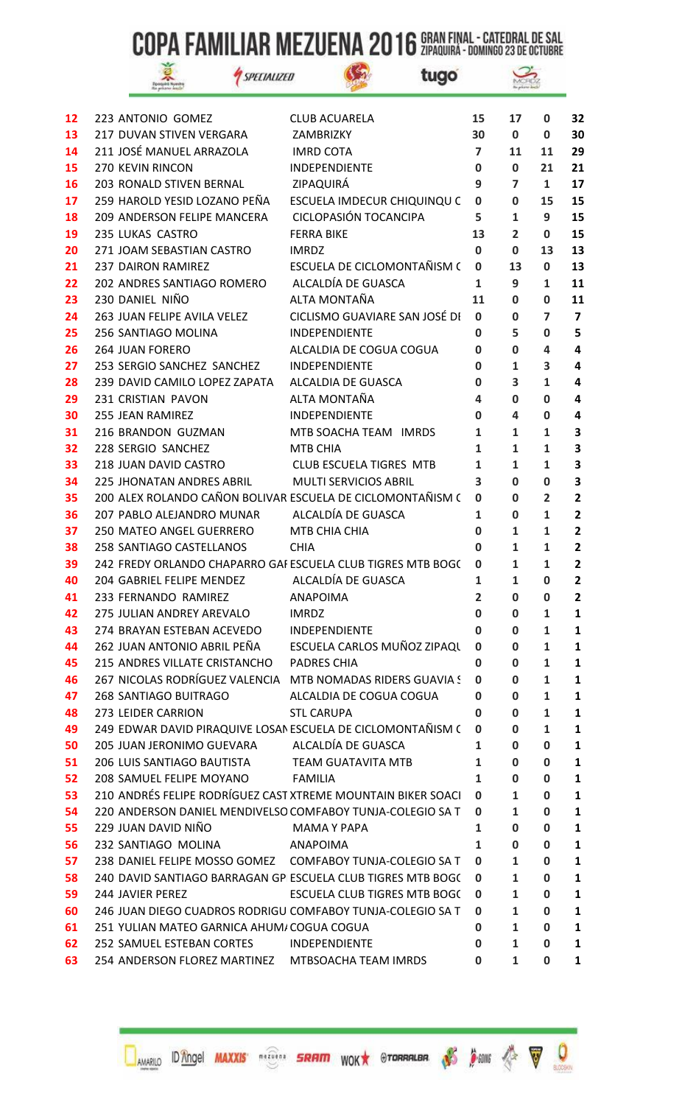$\mathbb{G}$ 

|   | . |  |
|---|---|--|
| ï |   |  |

SPECIALIZED



| 12 | 223 ANTONIO GOMEZ                                            | <b>CLUB ACUARELA</b>           | 15             | 17             | 0              | 32                      |
|----|--------------------------------------------------------------|--------------------------------|----------------|----------------|----------------|-------------------------|
| 13 | 217 DUVAN STIVEN VERGARA                                     | ZAMBRIZKY                      | 30             | $\mathbf 0$    | 0              | 30                      |
| 14 | 211 JOSÉ MANUEL ARRAZOLA                                     | <b>IMRD COTA</b>               | $\overline{7}$ | 11             | 11             | 29                      |
| 15 | 270 KEVIN RINCON                                             | INDEPENDIENTE                  | 0              | 0              | 21             | 21                      |
| 16 | 203 RONALD STIVEN BERNAL                                     | ZIPAQUIRÁ                      | 9              | $\overline{7}$ | $\mathbf{1}$   | 17                      |
| 17 | 259 HAROLD YESID LOZANO PEÑA                                 | ESCUELA IMDECUR CHIQUINQU C    | $\mathbf 0$    | 0              | 15             | 15                      |
| 18 | 209 ANDERSON FELIPE MANCERA                                  | <b>CICLOPASIÓN TOCANCIPA</b>   | 5              | $\mathbf{1}$   | 9              | 15                      |
| 19 | 235 LUKAS CASTRO                                             | <b>FERRA BIKE</b>              | 13             | $\overline{2}$ | 0              | 15                      |
| 20 | 271 JOAM SEBASTIAN CASTRO                                    | <b>IMRDZ</b>                   | $\mathbf 0$    | 0              | 13             | 13                      |
| 21 | <b>237 DAIRON RAMIREZ</b>                                    | ESCUELA DE CICLOMONTAÑISM (    | 0              | 13             | $\mathbf 0$    | 13                      |
| 22 | 202 ANDRES SANTIAGO ROMERO                                   | ALCALDÍA DE GUASCA             | $\mathbf{1}$   | 9              | 1              | 11                      |
| 23 | 230 DANIEL NIÑO                                              | ALTA MONTAÑA                   | 11             | $\mathbf 0$    | 0              | 11                      |
| 24 | 263 JUAN FELIPE AVILA VELEZ                                  | CICLISMO GUAVIARE SAN JOSÉ DI  | 0              | 0              | 7              | 7                       |
| 25 | 256 SANTIAGO MOLINA                                          | <b>INDEPENDIENTE</b>           | 0              | 5              | 0              | 5                       |
| 26 | <b>264 JUAN FORERO</b>                                       | ALCALDIA DE COGUA COGUA        | 0              | $\mathbf 0$    | 4              | $\overline{\mathbf{4}}$ |
| 27 | 253 SERGIO SANCHEZ SANCHEZ                                   | INDEPENDIENTE                  | 0              | 1              | 3              | 4                       |
| 28 | 239 DAVID CAMILO LOPEZ ZAPATA                                | ALCALDIA DE GUASCA             | 0              | 3              | 1              | 4                       |
| 29 | 231 CRISTIAN PAVON                                           | ALTA MONTAÑA                   | 4              | 0              | 0              | 4                       |
| 30 | 255 JEAN RAMIREZ                                             | INDEPENDIENTE                  | 0              | 4              | 0              | 4                       |
| 31 | 216 BRANDON GUZMAN                                           | MTB SOACHA TEAM IMRDS          | $\mathbf{1}$   | $\mathbf{1}$   | 1              | 3                       |
| 32 | 228 SERGIO SANCHEZ                                           | <b>MTB CHIA</b>                | 1              | 1              | 1              | 3                       |
| 33 | 218 JUAN DAVID CASTRO                                        | <b>CLUB ESCUELA TIGRES MTB</b> | $\mathbf{1}$   | $\mathbf{1}$   | $\mathbf{1}$   | 3                       |
| 34 | <b>225 JHONATAN ANDRES ABRIL</b>                             | <b>MULTI SERVICIOS ABRIL</b>   | 3              | 0              | 0              | 3                       |
| 35 | 200 ALEX ROLANDO CAÑON BOLIVAR ESCUELA DE CICLOMONTAÑISM (   |                                | 0              | $\mathbf 0$    | $\overline{2}$ | $\overline{\mathbf{2}}$ |
| 36 | 207 PABLO ALEJANDRO MUNAR                                    | ALCALDÍA DE GUASCA             | $\mathbf{1}$   | 0              | 1              | $\overline{\mathbf{2}}$ |
| 37 | 250 MATEO ANGEL GUERRERO                                     | MTB CHIA CHIA                  | 0              | 1              | 1              | $\overline{2}$          |
| 38 | 258 SANTIAGO CASTELLANOS                                     | <b>CHIA</b>                    | 0              | 1              | $\mathbf{1}$   | $\mathbf{2}$            |
| 39 | 242 FREDY ORLANDO CHAPARRO GAI ESCUELA CLUB TIGRES MTB BOGC  |                                | 0              | 1              | 1              | 2                       |
| 40 | 204 GABRIEL FELIPE MENDEZ                                    | ALCALDÍA DE GUASCA             | $\mathbf{1}$   | $\mathbf{1}$   | 0              | $\overline{\mathbf{2}}$ |
| 41 | 233 FERNANDO RAMIREZ                                         | <b>ANAPOIMA</b>                | $\overline{2}$ | 0              | 0              | $\overline{2}$          |
| 42 | 275 JULIAN ANDREY AREVALO                                    | <b>IMRDZ</b>                   | 0              | 0              | 1              | 1                       |
| 43 | 274 BRAYAN ESTEBAN ACEVEDO                                   | INDEPENDIENTE                  | 0              | 0              | 1              | 1                       |
| 44 | 262 JUAN ANTONIO ABRIL PEÑA                                  | ESCUELA CARLOS MUÑOZ ZIPAQU    | 0              | 0              | 1              | 1                       |
| 45 | 215 ANDRES VILLATE CRISTANCHO                                | <b>PADRES CHIA</b>             | 0              | 0              | 1              | 1                       |
| 46 | 267 NICOLAS RODRÍGUEZ VALENCIA MTB NOMADAS RIDERS GUAVIA S   |                                | 0              | 0              | 1              | 1                       |
| 47 | 268 SANTIAGO BUITRAGO                                        | ALCALDIA DE COGUA COGUA        | 0              | 0              | 1              | 1                       |
| 48 | 273 LEIDER CARRION                                           | <b>STL CARUPA</b>              | 0              | 0              | 1              | 1                       |
| 49 | 249 EDWAR DAVID PIRAQUIVE LOSAN ESCUELA DE CICLOMONTAÑISM (  |                                | 0              | 0              | 1              | 1                       |
| 50 | 205 JUAN JERONIMO GUEVARA                                    | ALCALDÍA DE GUASCA             | 1              | 0              | 0              | 1                       |
| 51 | 206 LUIS SANTIAGO BAUTISTA                                   | TEAM GUATAVITA MTB             | 1              | 0              | 0              | 1                       |
| 52 | 208 SAMUEL FELIPE MOYANO                                     | FAMILIA                        | 1              | 0              | 0              | 1                       |
| 53 | 210 ANDRÉS FELIPE RODRÍGUEZ CAST XTREME MOUNTAIN BIKER SOACI |                                | 0              | 1              | 0              | 1                       |
| 54 | 220 ANDERSON DANIEL MENDIVELSO COMFABOY TUNJA-COLEGIO SA T   |                                | 0              | 1              | 0              | 1                       |
| 55 | 229 JUAN DAVID NIÑO                                          | MAMA Y PAPA                    | 1              | 0              | 0              | 1                       |
| 56 | 232 SANTIAGO MOLINA                                          | ANAPOIMA                       | 1              | 0              | 0              | 1                       |
| 57 | 238 DANIEL FELIPE MOSSO GOMEZ  COMFABOY TUNJA-COLEGIO SA T   |                                | 0              | 1              | 0              | 1                       |
| 58 | 240 DAVID SANTIAGO BARRAGAN GP ESCUELA CLUB TIGRES MTB BOGC  |                                | 0              | 1              | 0              | 1                       |
| 59 | 244 JAVIER PEREZ                                             | ESCUELA CLUB TIGRES MTB BOGC   | 0              | 1              | 0              | 1                       |
| 60 | 246 JUAN DIEGO CUADROS RODRIGU COMFABOY TUNJA-COLEGIO SA T   |                                | 0              | 1              | 0              | 1                       |
| 61 | 251 YULIAN MATEO GARNICA AHUM/COGUA COGUA                    |                                | 0              | 1              | 0              | 1                       |
| 62 | 252 SAMUEL ESTEBAN CORTES                                    | INDEPENDIENTE                  | 0              | 1              | 0              | 1                       |
| 63 | 254 ANDERSON FLOREZ MARTINEZ MTBSOACHA TEAM IMRDS            |                                | 0              | $\mathbf{1}$   | 0              | 1                       |

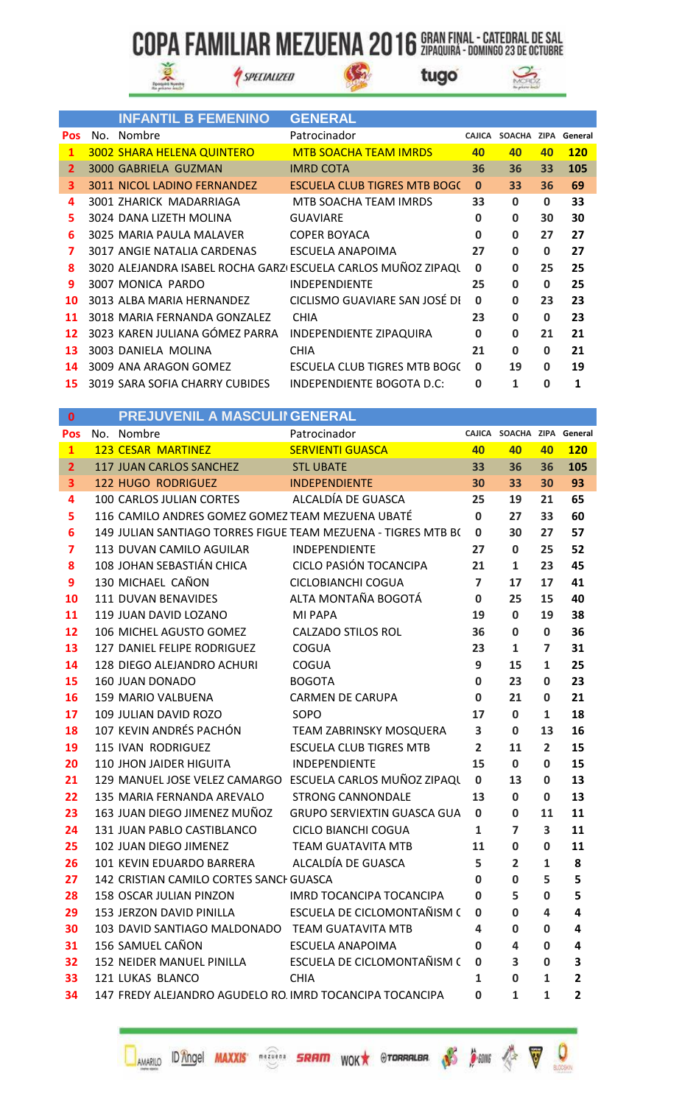$\mathbb{G}$ 



SPECIALIZED

tugo



|              | <b>INFANTIL B FEMENINO</b>        | <b>GENERAL</b>                                                |              |                            |          |            |
|--------------|-----------------------------------|---------------------------------------------------------------|--------------|----------------------------|----------|------------|
| <b>Pos</b>   | No. Nombre                        | Patrocinador                                                  |              | CAJICA SOACHA ZIPA General |          |            |
| $\mathbf{1}$ | <b>3002 SHARA HELENA QUINTERO</b> | <b>MTB SOACHA TEAM IMRDS</b>                                  | 40           | 40                         | 40       | <b>120</b> |
| 2            | 3000 GABRIELA GUZMAN              | <b>IMRD COTA</b>                                              | 36           | 36                         | 33       | 105        |
| 3            | 3011 NICOL LADINO FERNANDEZ       | <b>ESCUELA CLUB TIGRES MTB BOGC</b>                           | $\mathbf{0}$ | 33                         | 36       | 69         |
| 4            | 3001 ZHARICK MADARRIAGA           | MTB SOACHA TEAM IMRDS                                         | 33           | $\mathbf 0$                | $\bf{0}$ | 33         |
| 5.           | 3024 DANA LIZETH MOLINA           | <b>GUAVIARE</b>                                               | 0            | 0                          | 30       | 30         |
| 6            | 3025 MARIA PAULA MALAVER          | <b>COPER BOYACA</b>                                           | $\mathbf 0$  | $\bf{0}$                   | 27       | 27         |
| 7            | 3017 ANGIE NATALIA CARDENAS       | ESCUELA ANAPOIMA                                              | 27           | $\bf{0}$                   | $\bf{0}$ | 27         |
| 8            |                                   | 3020 ALEJANDRA ISABEL ROCHA GARZI ESCUELA CARLOS MUÑOZ ZIPAQU | $\mathbf 0$  | $\mathbf 0$                | 25       | 25         |
| 9            | 3007 MONICA PARDO                 | <b>INDEPENDIENTE</b>                                          | 25           | $\Omega$                   | $\bf{0}$ | 25         |
| 10           | 3013 ALBA MARIA HERNANDEZ         | CICLISMO GUAVIARE SAN JOSÉ DI                                 | 0            | $\mathbf 0$                | 23       | 23         |
| 11           | 3018 MARIA FERNANDA GONZALEZ      | <b>CHIA</b>                                                   | 23           | $\mathbf 0$                | $\bf{0}$ | 23         |
| 12           | 3023 KAREN JULIANA GÓMEZ PARRA    | INDEPENDIENTE ZIPAQUIRA                                       | $\mathbf 0$  | $\mathbf 0$                | 21       | 21         |
| 13           | 3003 DANIELA MOLINA               | <b>CHIA</b>                                                   | 21           | $\mathbf 0$                | $\bf{0}$ | 21         |
| 14           | 3009 ANA ARAGON GOMEZ             | ESCUELA CLUB TIGRES MTB BOGC                                  | 0            | 19                         | 0        | 19         |
|              | 15 3019 SARA SOFIA CHARRY CUBIDES | INDEPENDIENTE BOGOTA D.C:                                     | 0            | 1                          | 0        | 1          |

| 0              | PREJUVENIL A MASCULII GENERAL                            |                                                               |                |                            |                |                         |
|----------------|----------------------------------------------------------|---------------------------------------------------------------|----------------|----------------------------|----------------|-------------------------|
| Pos            | No. Nombre                                               | Patrocinador                                                  |                | CAJICA SOACHA ZIPA General |                |                         |
| $\mathbf{1}$   | <b>123 CESAR MARTINEZ</b>                                | <b>SERVIENTI GUASCA</b>                                       | 40             | 40                         | 40             | <b>120</b>              |
| $\overline{2}$ | 117 JUAN CARLOS SANCHEZ                                  | <b>STL UBATE</b>                                              | 33             | 36                         | 36             | 105                     |
| 3              | <b>122 HUGO RODRIGUEZ</b>                                | <b>INDEPENDIENTE</b>                                          | 30             | 33                         | 30             | 93                      |
| 4              | 100 CARLOS JULIAN CORTES                                 | ALCALDÍA DE GUASCA                                            | 25             | 19                         | 21             | 65                      |
| 5              | 116 CAMILO ANDRES GOMEZ GOMEZ TEAM MEZUENA UBATÉ         |                                                               | $\mathbf 0$    | 27                         | 33             | 60                      |
| 6              |                                                          | 149 JULIAN SANTIAGO TORRES FIGUE TEAM MEZUENA - TIGRES MTB B( | $\mathbf 0$    | 30                         | 27             | 57                      |
| 7              | 113 DUVAN CAMILO AGUILAR                                 | <b>INDEPENDIENTE</b>                                          | 27             | $\mathbf{0}$               | 25             | 52                      |
| 8              | 108 JOHAN SEBASTIÁN CHICA                                | CICLO PASIÓN TOCANCIPA                                        | 21             | $\mathbf{1}$               | 23             | 45                      |
| 9              | 130 MICHAEL CAÑON                                        | CICLOBIANCHI COGUA                                            | $\overline{7}$ | 17                         | 17             | 41                      |
| 10             | 111 DUVAN BENAVIDES                                      | ALTA MONTAÑA BOGOTÁ                                           | $\mathbf 0$    | 25                         | 15             | 40                      |
| 11             | 119 JUAN DAVID LOZANO                                    | MI PAPA                                                       | 19             | $\mathbf 0$                | 19             | 38                      |
| 12             | 106 MICHEL AGUSTO GOMEZ                                  | <b>CALZADO STILOS ROL</b>                                     | 36             | $\mathbf 0$                | 0              | 36                      |
| 13             | 127 DANIEL FELIPE RODRIGUEZ                              | <b>COGUA</b>                                                  | 23             | $\mathbf{1}$               | $\overline{ }$ | 31                      |
| 14             | 128 DIEGO ALEJANDRO ACHURI                               | <b>COGUA</b>                                                  | 9              | 15                         | $\mathbf{1}$   | 25                      |
| 15             | <b>160 JUAN DONADO</b>                                   | <b>BOGOTA</b>                                                 | 0              | 23                         | 0              | 23                      |
| 16             | 159 MARIO VALBUENA                                       | <b>CARMEN DE CARUPA</b>                                       | $\mathbf 0$    | 21                         | 0              | 21                      |
| 17             | 109 JULIAN DAVID ROZO                                    | SOPO                                                          | 17             | $\mathbf{0}$               | $\mathbf{1}$   | 18                      |
| 18             | 107 KEVIN ANDRÉS PACHÓN                                  | TEAM ZABRINSKY MOSQUERA                                       | 3              | $\mathbf{0}$               | 13             | 16                      |
| 19             | 115 IVAN RODRIGUEZ                                       | <b>ESCUELA CLUB TIGRES MTB</b>                                | $\overline{2}$ | 11                         | $\overline{2}$ | 15                      |
| 20             | 110 JHON JAIDER HIGUITA                                  | INDEPENDIENTE                                                 | 15             | $\mathbf{0}$               | $\mathbf{0}$   | 15                      |
| 21             |                                                          | 129 MANUEL JOSE VELEZ CAMARGO ESCUELA CARLOS MUÑOZ ZIPAQU     | $\mathbf 0$    | 13                         | $\mathbf{0}$   | 13                      |
| 22             | 135 MARIA FERNANDA AREVALO                               | <b>STRONG CANNONDALE</b>                                      | 13             | $\mathbf{0}$               | 0              | 13                      |
| 23             | 163 JUAN DIEGO JIMENEZ MUÑOZ                             | <b>GRUPO SERVIEXTIN GUASCA GUA</b>                            | $\mathbf 0$    | $\mathbf{0}$               | 11             | 11                      |
| 24             | 131 JUAN PABLO CASTIBLANCO                               | CICLO BIANCHI COGUA                                           | 1              | $\overline{ }$             | 3              | 11                      |
| 25             | 102 JUAN DIEGO JIMENEZ                                   | <b>TEAM GUATAVITA MTB</b>                                     | 11             | 0                          | 0              | 11                      |
| 26             | 101 KEVIN EDUARDO BARRERA                                | ALCALDÍA DE GUASCA                                            | 5              | $\overline{2}$             | $\mathbf{1}$   | 8                       |
| 27             | 142 CRISTIAN CAMILO CORTES SANCH GUASCA                  |                                                               | 0              | 0                          | 5              | 5                       |
| 28             | 158 OSCAR JULIAN PINZON                                  | <b>IMRD TOCANCIPA TOCANCIPA</b>                               | 0              | 5                          | $\mathbf{0}$   | 5                       |
| 29             | 153 JERZON DAVID PINILLA                                 | ESCUELA DE CICLOMONTAÑISM (                                   | 0              | $\bf{0}$                   | 4              | 4                       |
| 30             | 103 DAVID SANTIAGO MALDONADO TEAM GUATAVITA MTB          |                                                               | 4              | $\bf{0}$                   | $\mathbf{0}$   | 4                       |
| 31             | 156 SAMUEL CAÑON                                         | <b>ESCUELA ANAPOIMA</b>                                       | 0              | 4                          | 0              | 4                       |
| 32             | 152 NEIDER MANUEL PINILLA                                | ESCUELA DE CICLOMONTAÑISM (                                   | 0              | 3                          | 0              | 3                       |
| 33             | 121 LUKAS BLANCO                                         | <b>CHIA</b>                                                   | 1              | 0                          | $\mathbf{1}$   | $\overline{\mathbf{2}}$ |
| 34             | 147 FREDY ALEJANDRO AGUDELO RO. IMRD TOCANCIPA TOCANCIPA |                                                               | 0              | 1                          | 1              | 2                       |

147 FREDY ALEJANDRO AGUDELO RO. IMRD TOCANCIPA TOCANCIPA 34



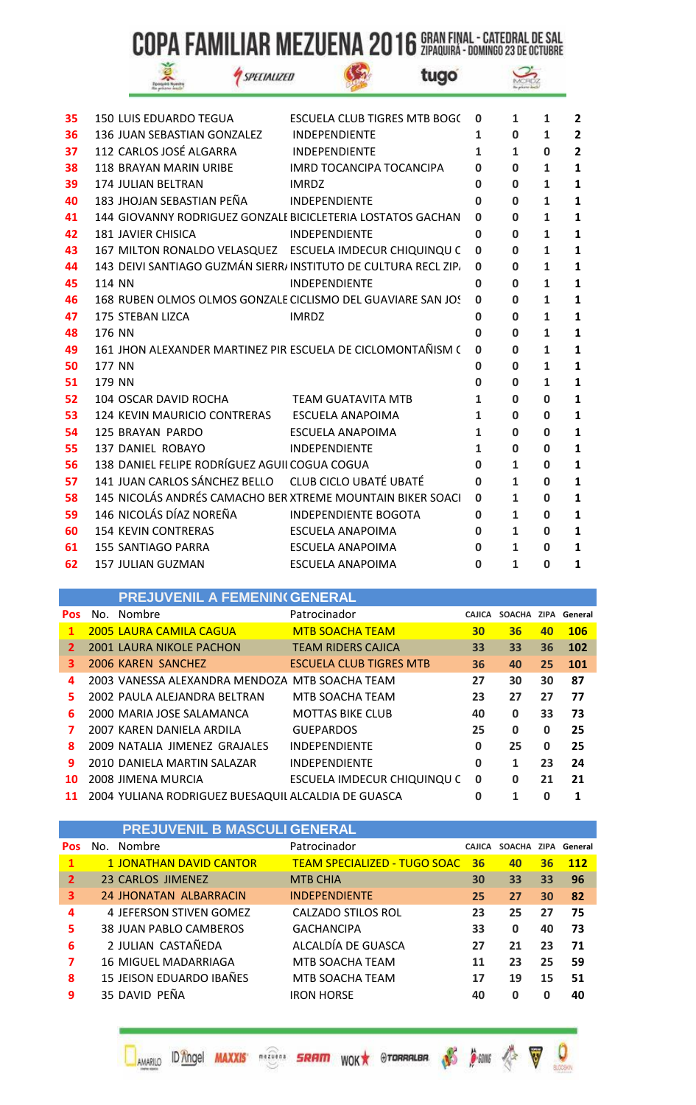$\mathcal{C}_2$ 

|  | <b>STAR</b> |  |
|--|-------------|--|
|  |             |  |

SPECIALIZED



| 35 | <b>150 LUIS EDUARDO TEGUA</b>                                  | <b>ESCUELA CLUB TIGRES MTB BOGC</b> | 0        | 1            | 1            | $\overline{2}$          |
|----|----------------------------------------------------------------|-------------------------------------|----------|--------------|--------------|-------------------------|
| 36 | 136 JUAN SEBASTIAN GONZALEZ                                    | <b>INDEPENDIENTE</b>                | 1        | $\mathbf{0}$ | 1            | $\overline{2}$          |
| 37 | 112 CARLOS JOSÉ ALGARRA                                        | <b>INDEPENDIENTE</b>                | 1        | 1            | 0            | $\overline{\mathbf{2}}$ |
| 38 | <b>118 BRAYAN MARIN URIBE</b>                                  | <b>IMRD TOCANCIPA TOCANCIPA</b>     | Ω        | 0            | 1            | $\mathbf{1}$            |
| 39 | 174 JULIAN BELTRAN                                             | <b>IMRDZ</b>                        | 0        | $\bf{0}$     | 1            | 1                       |
| 40 | 183 JHOJAN SEBASTIAN PEÑA                                      | <b>INDEPENDIENTE</b>                | O        | $\bf{0}$     | 1            | 1                       |
| 41 | 144 GIOVANNY RODRIGUEZ GONZALE BICICLETERIA LOSTATOS GACHAN    |                                     | O        | 0            | 1            | 1                       |
| 42 | <b>181 JAVIER CHISICA</b>                                      | <b>INDEPENDIENTE</b>                | $\bf{0}$ | $\bf{0}$     | 1            | 1                       |
| 43 | 167 MILTON RONALDO VELASQUEZ ESCUELA IMDECUR CHIQUINQU C       |                                     | 0        | $\bf{0}$     | 1            | 1                       |
| 44 | 143 DEIVI SANTIAGO GUZMÁN SIERR/INSTITUTO DE CULTURA RECL ZIP. |                                     | 0        | O            | 1            | $\mathbf{1}$            |
| 45 | <b>114 NN</b>                                                  | <b>INDEPENDIENTE</b>                | $\bf{0}$ | $\bf{0}$     | 1            | 1                       |
| 46 | 168 RUBEN OLMOS OLMOS GONZALE CICLISMO DEL GUAVIARE SAN JOS    |                                     | 0        | 0            | 1            | 1                       |
| 47 | 175 STEBAN LIZCA                                               | <b>IMRDZ</b>                        | 0        | 0            | 1            | 1                       |
| 48 | 176 NN                                                         |                                     | 0        | $\bf{0}$     | 1            | 1                       |
| 49 | 161 JHON ALEXANDER MARTINEZ PIR ESCUELA DE CICLOMONTAÑISM (    |                                     | 0        | $\bf{0}$     | 1            | 1                       |
| 50 | 177 NN                                                         |                                     | O        | $\mathbf 0$  | 1            | $\mathbf{1}$            |
| 51 | 179 NN                                                         |                                     | $\bf{0}$ | $\bf{0}$     | 1            | 1                       |
| 52 | 104 OSCAR DAVID ROCHA                                          | <b>TEAM GUATAVITA MTB</b>           | 1        | $\bf{0}$     | O            | 1                       |
| 53 | 124 KEVIN MAURICIO CONTRERAS                                   | ESCUELA ANAPOIMA                    | 1        | 0            | 0            | $\mathbf{1}$            |
| 54 | 125 BRAYAN PARDO                                               | ESCUELA ANAPOIMA                    | 1        | $\mathbf 0$  | $\mathbf{0}$ | $\mathbf{1}$            |
| 55 | 137 DANIEL ROBAYO                                              | <b>INDEPENDIENTE</b>                | 1        | $\bf{0}$     | 0            | 1                       |
| 56 | 138 DANIEL FELIPE RODRÍGUEZ AGUII COGUA COGUA                  |                                     | O        | 1            | 0            | $\mathbf{1}$            |
| 57 | 141 JUAN CARLOS SÁNCHEZ BELLO CLUB CICLO UBATÉ UBATÉ           |                                     | $\bf{0}$ | $\mathbf{1}$ | $\mathbf{0}$ | $\mathbf{1}$            |
| 58 | 145 NICOLÁS ANDRÉS CAMACHO BER XTREME MOUNTAIN BIKER SOACI     |                                     | 0        | 1            | 0            | 1                       |
| 59 | 146 NICOLÁS DÍAZ NOREÑA                                        | <b>INDEPENDIENTE BOGOTA</b>         | 0        | 1            | 0            | 1                       |
| 60 | <b>154 KEVIN CONTRERAS</b>                                     | ESCUELA ANAPOIMA                    | 0        | 1            | $\mathbf{0}$ | $\mathbf{1}$            |
| 61 | <b>155 SANTIAGO PARRA</b>                                      | <b>ESCUELA ANAPOIMA</b>             | 0        | 1            | 0            | 1                       |
| 62 | <b>157 JULIAN GUZMAN</b>                                       | <b>ESCUELA ANAPOIMA</b>             | 0        | 1            | 0            | 1                       |

|            | <b>PREJUVENIL A FEMENIN( GENERAL</b>                |                                |               |               |             |            |
|------------|-----------------------------------------------------|--------------------------------|---------------|---------------|-------------|------------|
| <b>Pos</b> | No. Nombre                                          | Patrocinador                   | <b>CAJICA</b> | <b>SOACHA</b> | <b>ZIPA</b> | General    |
| 1          | <b>2005 LAURA CAMILA CAGUA</b>                      | <b>MTB SOACHA TEAM</b>         | 30            | 36            | 40          | <b>106</b> |
| 2          | <b>2001 LAURA NIKOLE PACHON</b>                     | <b>TEAM RIDERS CAJICA</b>      | 33            | 33            | 36          | 102        |
| 3          | 2006 KAREN SANCHEZ                                  | <b>ESCUELA CLUB TIGRES MTB</b> | 36            | 40            | 25          | 101        |
| 4          | 2003 VANESSA ALEXANDRA MENDOZA MTB SOACHA TEAM      |                                | 27            | 30            | 30          | 87         |
| 5          | 2002 PAULA ALEJANDRA BELTRAN                        | MTB SOACHA TEAM                | 23            | 27            | 27          | 77         |
| 6          | 2000 MARIA JOSE SALAMANCA                           | <b>MOTTAS BIKE CLUB</b>        | 40            | 0             | 33          | 73         |
| 7          | 2007 KAREN DANIELA ARDILA                           | <b>GUEPARDOS</b>               | 25            | 0             | 0           | 25         |
| 8          | 2009 NATALIA JIMENEZ GRAJALES                       | <b>INDEPENDIENTE</b>           | 0             | 25            | 0           | 25         |
| 9          | 2010 DANIELA MARTIN SALAZAR                         | <b>INDEPENDIENTE</b>           | 0             | 1             | 23          | 24         |
| 10         | 2008 JIMENA MURCIA                                  | ESCUELA IMDECUR CHIQUINQU C    | 0             | 0             | 21          | 21         |
| 11         | 2004 YULIANA RODRIGUEZ BUESAQUIL ALCALDIA DE GUASCA |                                | 0             | 1             | 0           | 1          |

|                | <b>PREJUVENIL B MASCULI GENERAL</b> |                                     |               |               |          |            |
|----------------|-------------------------------------|-------------------------------------|---------------|---------------|----------|------------|
| <b>Pos</b>     | No. Nombre                          | Patrocinador                        | <b>CAJICA</b> | <b>SOACHA</b> | ZIPA     | General    |
| $\mathbf{1}$   | <b>1 JONATHAN DAVID CANTOR</b>      | <b>TEAM SPECIALIZED - TUGO SOAC</b> | 36            | 40            | 36       | <b>112</b> |
| $\overline{2}$ | 23 CARLOS JIMENEZ                   | <b>MTB CHIA</b>                     | 30            | 33            | 33       | 96         |
| 3              | 24 JHONATAN ALBARRACIN              | <b>INDEPENDIENTE</b>                | 25            | 27            | 30       | 82         |
| 4              | 4 JEFERSON STIVEN GOMEZ             | CALZADO STILOS ROL                  | 23            | 25            | 27       | 75         |
| 5              | 38 JUAN PABLO CAMBEROS              | <b>GACHANCIPA</b>                   | 33            | $\bf{0}$      | 40       | 73         |
| 6              | 2 JULIAN CASTAÑEDA                  | ALCALDÍA DE GUASCA                  | 27            | 21            | 23       | 71         |
| 7              | 16 MIGUEL MADARRIAGA                | MTB SOACHA TEAM                     | 11            | 23            | 25       | 59         |
| 8              | 15 JEISON EDUARDO IBAÑES            | MTB SOACHA TEAM                     | 17            | 19            | 15       | 51         |
| 9              | 35 DAVID PEÑA                       | <b>IRON HORSE</b>                   | 40            | $\mathbf 0$   | $\Omega$ | 40         |

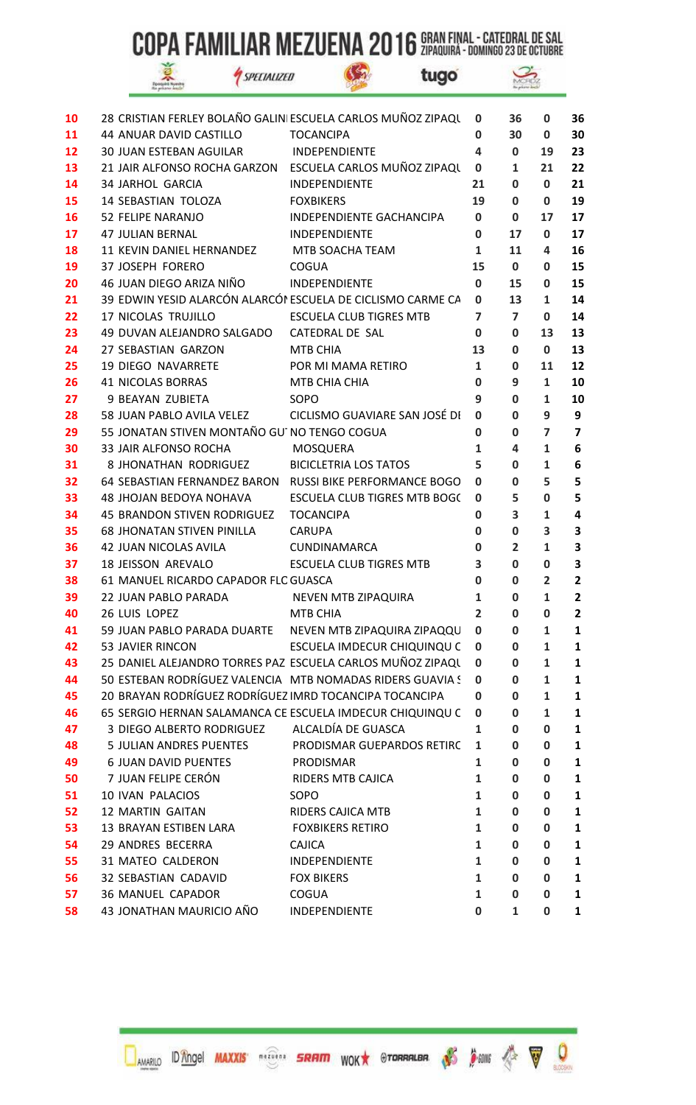$\mathbb{G}$ 

|  | plets No                       |  |
|--|--------------------------------|--|
|  | <b><i><u>Alexander</u></i></b> |  |

SPECIALIZED



| 10 | 28 CRISTIAN FERLEY BOLAÑO GALINI ESCUELA CARLOS MUÑOZ ZIPAQU |                                | 0              | 36          | 0            | 36                      |
|----|--------------------------------------------------------------|--------------------------------|----------------|-------------|--------------|-------------------------|
| 11 | 44 ANUAR DAVID CASTILLO                                      | <b>TOCANCIPA</b>               | 0              | 30          | $\bf{0}$     | 30                      |
| 12 | <b>30 JUAN ESTEBAN AGUILAR</b>                               | INDEPENDIENTE                  | 4              | 0           | 19           | 23                      |
| 13 | 21 JAIR ALFONSO ROCHA GARZON ESCUELA CARLOS MUÑOZ ZIPAQU     |                                | 0              | 1           | 21           | 22                      |
| 14 | <b>34 JARHOL GARCIA</b>                                      | <b>INDEPENDIENTE</b>           | 21             | 0           | 0            | 21                      |
| 15 | <b>14 SEBASTIAN TOLOZA</b>                                   | <b>FOXBIKERS</b>               | 19             | 0           | 0            | 19                      |
| 16 | 52 FELIPE NARANJO                                            | INDEPENDIENTE GACHANCIPA       | 0              | 0           | 17           | 17                      |
| 17 | <b>47 JULIAN BERNAL</b>                                      | <b>INDEPENDIENTE</b>           | 0              | 17          | 0            | 17                      |
| 18 | 11 KEVIN DANIEL HERNANDEZ                                    | MTB SOACHA TEAM                | 1              | 11          | 4            | 16                      |
| 19 | <b>37 JOSEPH FORERO</b>                                      | <b>COGUA</b>                   | 15             | 0           | 0            | 15                      |
| 20 | 46 JUAN DIEGO ARIZA NIÑO                                     | <b>INDEPENDIENTE</b>           | $\mathbf 0$    | 15          | 0            | 15                      |
| 21 | 39 EDWIN YESID ALARCÓN ALARCÓN ESCUELA DE CICLISMO CARME CA  |                                | 0              | 13          | 1            | 14                      |
| 22 | <b>17 NICOLAS TRUJILLO</b>                                   | <b>ESCUELA CLUB TIGRES MTB</b> | $\overline{7}$ | 7           | 0            | 14                      |
| 23 | 49 DUVAN ALEJANDRO SALGADO                                   | CATEDRAL DE SAL                | 0              | 0           | 13           | 13                      |
| 24 | 27 SEBASTIAN GARZON                                          | MTB CHIA                       | 13             | 0           | $\bf{0}$     | 13                      |
| 25 | <b>19 DIEGO NAVARRETE</b>                                    | POR MI MAMA RETIRO             | $\mathbf{1}$   | 0           | 11           | 12                      |
| 26 | <b>41 NICOLAS BORRAS</b>                                     | MTB CHIA CHIA                  | 0              | 9           | 1            | 10                      |
| 27 | 9 BEAYAN ZUBIETA                                             | SOPO                           | 9              | 0           | 1            | 10                      |
| 28 | 58 JUAN PABLO AVILA VELEZ                                    | CICLISMO GUAVIARE SAN JOSÉ DI  | O              | 0           | 9            | 9                       |
| 29 | 55 JONATAN STIVEN MONTAÑO GU' NO TENGO COGUA                 |                                | 0              | 0           | 7            | $\overline{\mathbf{z}}$ |
| 30 | 33 JAIR ALFONSO ROCHA                                        | <b>MOSQUERA</b>                | 1              | 4           | 1            | 6                       |
| 31 | 8 JHONATHAN RODRIGUEZ                                        | <b>BICICLETRIA LOS TATOS</b>   | 5              | 0           | 1            | 6                       |
| 32 | 64 SEBASTIAN FERNANDEZ BARON RUSSI BIKE PERFORMANCE BOGO     |                                | $\bf{0}$       | 0           | 5            | 5                       |
| 33 | <b>48 JHOJAN BEDOYA NOHAVA</b>                               | ESCUELA CLUB TIGRES MTB BOGC   | 0              | 5           | 0            | 5                       |
| 34 | 45 BRANDON STIVEN RODRIGUEZ                                  | <b>TOCANCIPA</b>               | 0              | 3           | $\mathbf{1}$ | 4                       |
| 35 | <b>68 JHONATAN STIVEN PINILLA</b>                            | <b>CARUPA</b>                  | 0              | 0           | 3            | 3                       |
| 36 | 42 JUAN NICOLAS AVILA                                        | CUNDINAMARCA                   | 0              | 2           | 1            | 3                       |
| 37 | 18 JEISSON AREVALO                                           | <b>ESCUELA CLUB TIGRES MTB</b> | 3              | 0           | 0            | 3                       |
| 38 | 61 MANUEL RICARDO CAPADOR FLC GUASCA                         |                                | 0              | 0           | 2            | $\overline{2}$          |
| 39 | 22 JUAN PABLO PARADA                                         | NEVEN MTB ZIPAQUIRA            | 1              | 0           | 1            | $\overline{2}$          |
| 40 | 26 LUIS LOPEZ                                                | MTB CHIA                       | 2              | 0           | 0            | 2                       |
| 41 | 59 JUAN PABLO PARADA DUARTE                                  | NEVEN MTB ZIPAQUIRA ZIPAQQU    | $\mathbf 0$    | 0           | 1            | 1                       |
| 42 | 53 JAVIER RINCON                                             | ESCUELA IMDECUR CHIQUINQU C    | 0              | 0           | 1            | 1                       |
| 43 | 25 DANIEL ALEJANDRO TORRES PAZ ESCUELA CARLOS MUÑOZ ZIPAQU   |                                | 0              | 0           | 1            | $\mathbf{1}$            |
| 44 | 50 ESTEBAN RODRÍGUEZ VALENCIA MTB NOMADAS RIDERS GUAVIA S    |                                | 0              | 0           | $\mathbf{1}$ | 1                       |
| 45 | 20 BRAYAN RODRÍGUEZ RODRÍGUEZ IMRD TOCANCIPA TOCANCIPA       |                                | 0              | 0           | 1            | 1                       |
| 46 | 65 SERGIO HERNAN SALAMANCA CE ESCUELA IMDECUR CHIQUINQU C    |                                | 0              | 0           | $\mathbf{1}$ | 1                       |
| 47 | 3 DIEGO ALBERTO RODRIGUEZ                                    | ALCALDÍA DE GUASCA             | 1              | 0           | 0            | 1                       |
| 48 | <b>5 JULIAN ANDRES PUENTES</b>                               | PRODISMAR GUEPARDOS RETIRC     | 1              | 0           | 0            | 1                       |
| 49 | <b>6 JUAN DAVID PUENTES</b>                                  | PRODISMAR                      | 1              | 0           | 0            | 1                       |
| 50 | 7 JUAN FELIPE CERÓN                                          | <b>RIDERS MTB CAJICA</b>       | $\mathbf{1}$   | 0           | 0            | 1                       |
| 51 | 10 IVAN PALACIOS                                             | SOPO                           | 1              | 0           | 0            | 1                       |
| 52 | 12 MARTIN GAITAN                                             | RIDERS CAJICA MTB              | $\mathbf{1}$   | 0           | 0            | $\mathbf{1}$            |
| 53 | 13 BRAYAN ESTIBEN LARA                                       | <b>FOXBIKERS RETIRO</b>        | $\mathbf{1}$   | 0           | 0            | 1                       |
| 54 | 29 ANDRES BECERRA                                            | <b>CAJICA</b>                  | 1              | 0           | 0            | 1                       |
| 55 | 31 MATEO CALDERON                                            | <b>INDEPENDIENTE</b>           | 1              | 0           | 0            | 1                       |
| 56 | 32 SEBASTIAN CADAVID                                         | <b>FOX BIKERS</b>              | 1              | $\mathbf 0$ | 0            | 1                       |
| 57 | <b>36 MANUEL CAPADOR</b>                                     | <b>COGUA</b>                   | $\mathbf{1}$   | 0           | 0            | $\mathbf{1}$            |
| 58 | 43 JONATHAN MAURICIO AÑO                                     | INDEPENDIENTE                  | $\bf{0}$       | 1           | $\mathbf 0$  | 1                       |
|    |                                                              |                                |                |             |              |                         |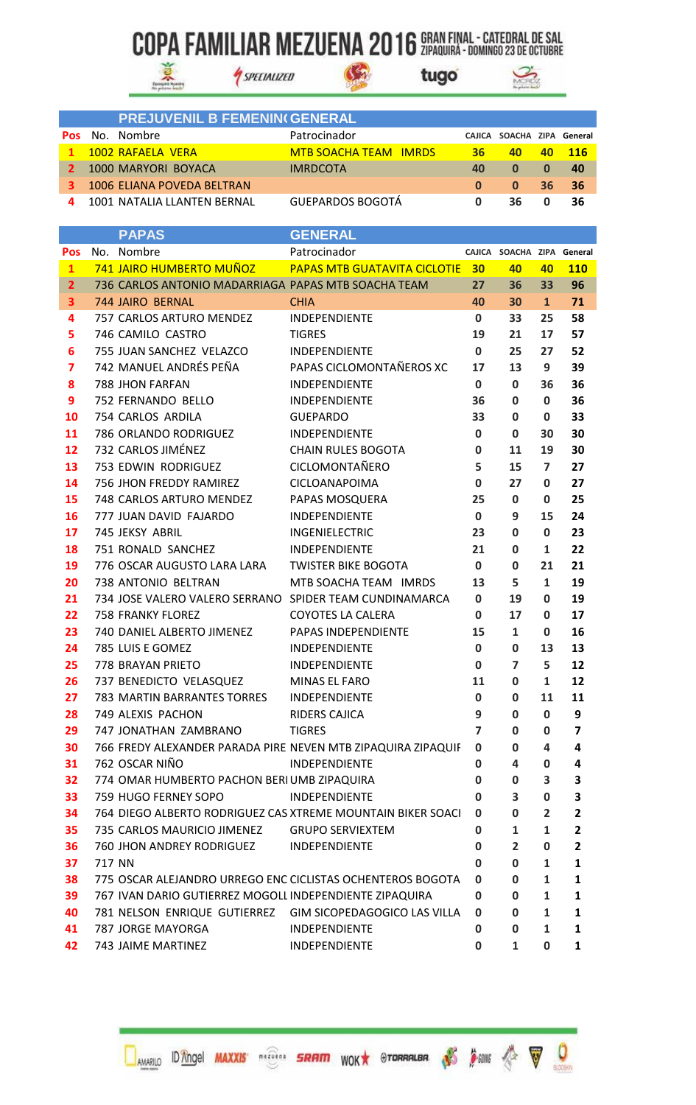$\mathbb{G}$ 

tugo



|             | <b>PREJUVENIL B FEMENIN(GENERAL</b> |                              |          |                            |    |      |
|-------------|-------------------------------------|------------------------------|----------|----------------------------|----|------|
| <b>Pos</b>  | - No. - Nombre                      | Patrocinador                 |          | CAJICA SOACHA ZIPA General |    |      |
| $\mathbf 1$ | 1002 RAFAELA VERA                   | <b>MTB SOACHA TEAM IMRDS</b> | 36       | 40                         |    | -116 |
| 2.          | 1000 MARYORI BOYACA                 | <b>IMRDCOTA</b>              | 40       | $\Omega$                   | 0  | -40  |
|             | 1006 ELIANA POVEDA BELTRAN          |                              | $\Omega$ | $\mathbf{0}$               | 36 | - 36 |
|             | 1001 NATALIA LLANTEN BERNAL         | <b>GUEPARDOS BOGOTÁ</b>      |          | 36                         |    | 36   |

SPECIALIZED

|                | <b>PAPAS</b>                                                 | <b>GENERAL</b>                         |                |                            |                         |                         |
|----------------|--------------------------------------------------------------|----------------------------------------|----------------|----------------------------|-------------------------|-------------------------|
| Pos            | No. Nombre                                                   | Patrocinador                           |                | CAJICA SOACHA ZIPA General |                         |                         |
| $\mathbf{1}$   | 741 JAIRO HUMBERTO MUÑOZ                                     | <b>PAPAS MTB GUATAVITA CICLOTIE 30</b> |                | 40                         | 40                      | <b>110</b>              |
| $\overline{2}$ | 736 CARLOS ANTONIO MADARRIAGA PAPAS MTB SOACHA TEAM          |                                        | 27             | 36                         | 33                      | 96                      |
| 3              | 744 JAIRO BERNAL                                             | <b>CHIA</b>                            | 40             | 30                         | $\mathbf{1}$            | 71                      |
| 4              | 757 CARLOS ARTURO MENDEZ                                     | INDEPENDIENTE                          | 0              | 33                         | 25                      | 58                      |
| 5              | 746 CAMILO CASTRO                                            | <b>TIGRES</b>                          | 19             | 21                         | 17                      | 57                      |
| 6              | 755 JUAN SANCHEZ VELAZCO                                     | INDEPENDIENTE                          | $\mathbf 0$    | 25                         | 27                      | 52                      |
| 7              | 742 MANUEL ANDRÉS PEÑA                                       | PAPAS CICLOMONTAÑEROS XC               | 17             | 13                         | 9                       | 39                      |
| 8              | 788 JHON FARFAN                                              | INDEPENDIENTE                          | $\mathbf 0$    | $\mathbf 0$                | 36                      | 36                      |
| 9              | 752 FERNANDO BELLO                                           | INDEPENDIENTE                          | 36             | $\mathbf 0$                | 0                       | 36                      |
| 10             | 754 CARLOS ARDILA                                            | <b>GUEPARDO</b>                        | 33             | 0                          | 0                       | 33                      |
| 11             | 786 ORLANDO RODRIGUEZ                                        | INDEPENDIENTE                          | $\mathbf 0$    | $\mathbf 0$                | 30                      | 30                      |
| 12             | 732 CARLOS JIMÉNEZ                                           | <b>CHAIN RULES BOGOTA</b>              | 0              | 11                         | 19                      | 30                      |
| 13             | 753 EDWIN RODRIGUEZ                                          | CICLOMONTAÑERO                         | 5              | 15                         | $\overline{7}$          | 27                      |
| 14             | 756 JHON FREDDY RAMIREZ                                      | <b>CICLOANAPOIMA</b>                   | $\mathbf 0$    | 27                         | 0                       | 27                      |
| 15             | 748 CARLOS ARTURO MENDEZ                                     | PAPAS MOSQUERA                         | 25             | $\mathbf 0$                | $\mathbf 0$             | 25                      |
| 16             | 777 JUAN DAVID FAJARDO                                       | INDEPENDIENTE                          | $\mathbf 0$    | 9                          | 15                      | 24                      |
| 17             | 745 JEKSY ABRIL                                              | INGENIELECTRIC                         | 23             | $\mathbf 0$                | 0                       | 23                      |
| 18             | 751 RONALD SANCHEZ                                           | <b>INDEPENDIENTE</b>                   | 21             | $\mathbf 0$                | $\mathbf{1}$            | 22                      |
| 19             | 776 OSCAR AUGUSTO LARA LARA                                  | <b>TWISTER BIKE BOGOTA</b>             | 0              | $\mathbf 0$                | 21                      | 21                      |
| 20             | 738 ANTONIO BELTRAN                                          | MTB SOACHA TEAM IMRDS                  | 13             | 5                          | $\mathbf{1}$            | 19                      |
| 21             | 734 JOSE VALERO VALERO SERRANO SPIDER TEAM CUNDINAMARCA      |                                        | 0              | 19                         | 0                       | 19                      |
| 22             | <b>758 FRANKY FLOREZ</b>                                     | <b>COYOTES LA CALERA</b>               | $\mathbf 0$    | 17                         | 0                       | 17                      |
| 23             | 740 DANIEL ALBERTO JIMENEZ                                   | PAPAS INDEPENDIENTE                    | 15             | $\mathbf{1}$               | 0                       | 16                      |
| 24             | 785 LUIS E GOMEZ                                             | INDEPENDIENTE                          | 0              | $\mathbf 0$                | 13                      | 13                      |
| 25             | 778 BRAYAN PRIETO                                            | INDEPENDIENTE                          | $\mathbf 0$    | $\overline{7}$             | 5                       | 12                      |
| 26             | 737 BENEDICTO VELASQUEZ                                      | MINAS EL FARO                          | 11             | $\mathbf 0$                | $\mathbf{1}$            | 12                      |
| 27             | 783 MARTIN BARRANTES TORRES                                  | INDEPENDIENTE                          | $\bf{0}$       | $\mathbf 0$                | 11                      | 11                      |
| 28             | 749 ALEXIS PACHON                                            | RIDERS CAJICA                          | 9              | $\mathbf 0$                | 0                       | 9                       |
| 29             | 747 JONATHAN ZAMBRANO                                        | <b>TIGRES</b>                          | $\overline{7}$ | $\mathbf 0$                | 0                       | $\overline{\mathbf{z}}$ |
| 30             | 766 FREDY ALEXANDER PARADA PIRE NEVEN MTB ZIPAQUIRA ZIPAQUIF |                                        | 0              | 0                          | 4                       | 4                       |
| 31             | 762 OSCAR NIÑO                                               | <b>INDEPENDIENTE</b>                   | 0              | 4                          | 0                       | 4                       |
| 32             | 774 OMAR HUMBERTO PACHON BERIUMB ZIPAQUIRA                   |                                        | 0              | 0                          | 3                       | 3                       |
| 33             | 759 HUGO FERNEY SOPO                                         | INDEPENDIENTE                          | 0              | 3                          | 0                       | З                       |
| 34             | 764 DIEGO ALBERTO RODRIGUEZ CAS XTREME MOUNTAIN BIKER SOACI  |                                        | 0              | $\mathbf 0$                | $\overline{\mathbf{2}}$ | $\mathbf{2}$            |
| 35             | 735 CARLOS MAURICIO JIMENEZ                                  | <b>GRUPO SERVIEXTEM</b>                | 0              | 1                          | $\mathbf{1}$            | $\mathbf{2}$            |
| 36             | 760 JHON ANDREY RODRIGUEZ                                    | <b>INDEPENDIENTE</b>                   | 0              | $\overline{2}$             | 0                       | $\overline{\mathbf{2}}$ |
| 37             | 717 NN                                                       |                                        | 0              | $\mathbf 0$                | 1                       | 1                       |
| 38             | 775 OSCAR ALEJANDRO URREGO ENC CICLISTAS OCHENTEROS BOGOTA   |                                        | 0              | 0                          | 1                       | 1                       |
| 39             | 767 IVAN DARIO GUTIERREZ MOGOLI INDEPENDIENTE ZIPAQUIRA      |                                        | 0              | 0                          | $\mathbf{1}$            | 1                       |
| 40             | 781 NELSON ENRIQUE GUTIERREZ                                 | GIM SICOPEDAGOGICO LAS VILLA           | 0              | 0                          | 1                       | 1                       |
| 41             | 787 JORGE MAYORGA                                            | INDEPENDIENTE                          | 0              | $\mathbf 0$                | 1                       | 1                       |
| 42             | 743 JAIME MARTINEZ                                           | INDEPENDIENTE                          | 0              | $\mathbf{1}$               | 0                       | 1                       |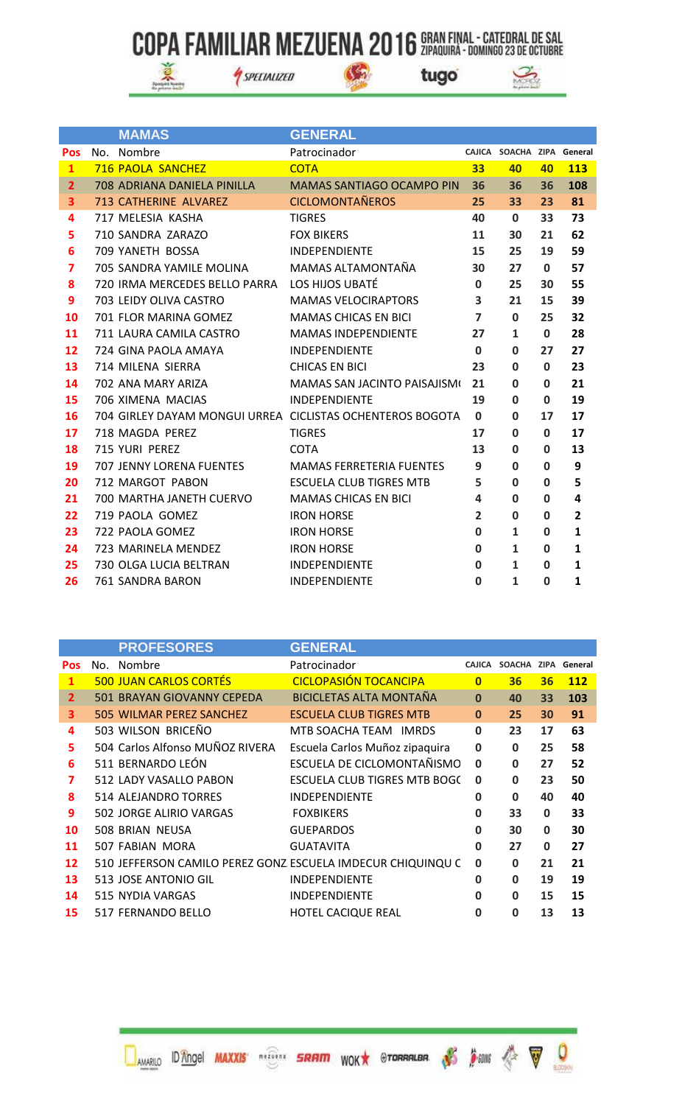$\mathbb{G}$ 



SPECIALIZED



|                         |     | <b>MAMAS</b>                  | <b>GENERAL</b>                                            |                         |                            |              |                |
|-------------------------|-----|-------------------------------|-----------------------------------------------------------|-------------------------|----------------------------|--------------|----------------|
| <b>Pos</b>              | No. | Nombre                        | Patrocinador                                              |                         | CAJICA SOACHA ZIPA General |              |                |
| $\mathbf{1}$            |     | <b>716 PAOLA SANCHEZ</b>      | <b>COTA</b>                                               | 33                      | 40                         | 40           | <b>113</b>     |
| $\overline{2}$          |     | 708 ADRIANA DANIELA PINILLA   | MAMAS SANTIAGO OCAMPO PIN                                 | 36                      | 36                         | 36           | 108            |
| 3                       |     | 713 CATHERINE ALVAREZ         | <b>CICLOMONTAÑEROS</b>                                    | 25                      | 33                         | 23           | 81             |
| 4                       |     | 717 MELESIA KASHA             | <b>TIGRES</b>                                             | 40                      | $\mathbf{0}$               | 33           | 73             |
| 5                       |     | 710 SANDRA ZARAZO             | <b>FOX BIKERS</b>                                         | 11                      | 30                         | 21           | 62             |
| 6                       |     | 709 YANETH BOSSA              | <b>INDEPENDIENTE</b>                                      | 15                      | 25                         | 19           | 59             |
| $\overline{\mathbf{z}}$ |     | 705 SANDRA YAMILE MOLINA      | MAMAS ALTAMONTAÑA                                         | 30                      | 27                         | $\mathbf{0}$ | 57             |
| 8                       |     | 720 IRMA MERCEDES BELLO PARRA | LOS HIJOS UBATÉ                                           | $\mathbf 0$             | 25                         | 30           | 55             |
| 9                       |     | 703 LEIDY OLIVA CASTRO        | <b>MAMAS VELOCIRAPTORS</b>                                | 3                       | 21                         | 15           | 39             |
| 10                      |     | 701 FLOR MARINA GOMEZ         | <b>MAMAS CHICAS EN BICI</b>                               | $\overline{\mathbf{z}}$ | $\mathbf{0}$               | 25           | 32             |
| 11                      |     | 711 LAURA CAMILA CASTRO       | <b>MAMAS INDEPENDIENTE</b>                                | 27                      | 1                          | $\mathbf{0}$ | 28             |
| 12                      |     | 724 GINA PAOLA AMAYA          | <b>INDEPENDIENTE</b>                                      | $\mathbf 0$             | $\mathbf{0}$               | 27           | 27             |
| 13                      |     | 714 MILENA SIERRA             | <b>CHICAS EN BICI</b>                                     | 23                      | $\mathbf{0}$               | $\bf{0}$     | 23             |
| 14                      |     | 702 ANA MARY ARIZA            | MAMAS SAN JACINTO PAISAJISMI                              | 21                      | O                          | $\bf{0}$     | 21             |
| 15                      |     | 706 XIMENA MACIAS             | <b>INDEPENDIENTE</b>                                      | 19                      | $\mathbf{0}$               | $\mathbf 0$  | 19             |
| 16                      |     |                               | 704 GIRLEY DAYAM MONGUI URREA CICLISTAS OCHENTEROS BOGOTA | $\mathbf 0$             | $\mathbf 0$                | 17           | 17             |
| 17                      |     | 718 MAGDA PEREZ               | <b>TIGRES</b>                                             | 17                      | $\bf{0}$                   | $\bf{0}$     | 17             |
| 18                      |     | 715 YURI PEREZ                | <b>COTA</b>                                               | 13                      | $\Omega$                   | $\Omega$     | 13             |
| 19                      |     | 707 JENNY LORENA FUENTES      | <b>MAMAS FERRETERIA FUENTES</b>                           | 9                       | $\mathbf{0}$               | $\bf{0}$     | 9              |
| 20                      |     | 712 MARGOT PABON              | <b>ESCUELA CLUB TIGRES MTB</b>                            | 5                       | $\mathbf{0}$               | $\bf{0}$     | 5              |
| 21                      |     | 700 MARTHA JANETH CUERVO      | <b>MAMAS CHICAS EN BICI</b>                               | 4                       | $\mathbf 0$                | $\bf{0}$     | 4              |
| 22                      |     | 719 PAOLA GOMEZ               | <b>IRON HORSE</b>                                         | $\overline{2}$          | $\mathbf 0$                | $\mathbf 0$  | $\overline{2}$ |
| 23                      |     | 722 PAOLA GOMEZ               | <b>IRON HORSE</b>                                         | $\mathbf 0$             | 1                          | $\bf{0}$     | $\mathbf{1}$   |
| 24                      |     | 723 MARINELA MENDEZ           | <b>IRON HORSE</b>                                         | 0                       | 1                          | $\mathbf 0$  | 1              |
| 25                      |     | 730 OLGA LUCIA BELTRAN        | <b>INDEPENDIENTE</b>                                      | $\bf{0}$                | 1                          | $\mathbf 0$  | $\mathbf{1}$   |
| 26                      |     | 761 SANDRA BARON              | INDEPENDIENTE                                             | 0                       | 1                          | $\bf{0}$     | 1              |

|                | <b>PROFESORES</b>               | <b>GENERAL</b>                                              |                |                     |    |            |
|----------------|---------------------------------|-------------------------------------------------------------|----------------|---------------------|----|------------|
| <b>Pos</b>     | No. Nombre                      | Patrocinador                                                | <b>CAJICA</b>  | SOACHA ZIPA General |    |            |
| $\mathbf{1}$   | <b>500 JUAN CARLOS CORTÉS</b>   | <b>CICLOPASIÓN TOCANCIPA</b>                                | $\overline{0}$ | 36                  | 36 | <b>112</b> |
| $\overline{2}$ | 501 BRAYAN GIOVANNY CEPEDA      | <b>BICICLETAS ALTA MONTAÑA</b>                              | $\mathbf{0}$   | 40                  | 33 | 103        |
| 3              | 505 WILMAR PEREZ SANCHEZ        | <b>ESCUELA CLUB TIGRES MTB</b>                              | $\mathbf{0}$   | 25                  | 30 | 91         |
| 4              | 503 WILSON BRICEÑO              | MTB SOACHA TEAM IMRDS                                       | $\mathbf 0$    | 23                  | 17 | 63         |
| 5              | 504 Carlos Alfonso MUÑOZ RIVERA | Escuela Carlos Muñoz zipaquira                              | $\mathbf 0$    | $\mathbf{0}$        | 25 | 58         |
| 6              | 511 BERNARDO LEÓN               | ESCUELA DE CICLOMONTAÑISMO                                  | $\bf{0}$       | $\mathbf{0}$        | 27 | 52         |
| 7              | 512 LADY VASALLO PABON          | ESCUELA CLUB TIGRES MTB BOGC                                | $\bf{0}$       | 0                   | 23 | 50         |
| 8              | 514 ALEJANDRO TORRES            | <b>INDEPENDIENTE</b>                                        | 0              | 0                   | 40 | 40         |
| 9              | 502 JORGE ALIRIO VARGAS         | <b>FOXBIKERS</b>                                            | 0              | 33                  | 0  | 33         |
| 10             | 508 BRIAN NEUSA                 | <b>GUEPARDOS</b>                                            | 0              | 30                  | 0  | 30         |
| 11             | 507 FABIAN MORA                 | <b>GUATAVITA</b>                                            | 0              | 27                  | 0  | 27         |
| 12             |                                 | 510 JEFFERSON CAMILO PEREZ GONZ ESCUELA IMDECUR CHIQUINQU C | 0              | 0                   | 21 | 21         |
| 13             | 513 JOSE ANTONIO GIL            | <b>INDEPENDIENTE</b>                                        | 0              | 0                   | 19 | 19         |
| 14             | 515 NYDIA VARGAS                | <b>INDEPENDIENTE</b>                                        | 0              | 0                   | 15 | 15         |
| 15             | 517 FERNANDO BELLO              | <b>HOTEL CACIQUE REAL</b>                                   | 0              | 0                   | 13 | 13         |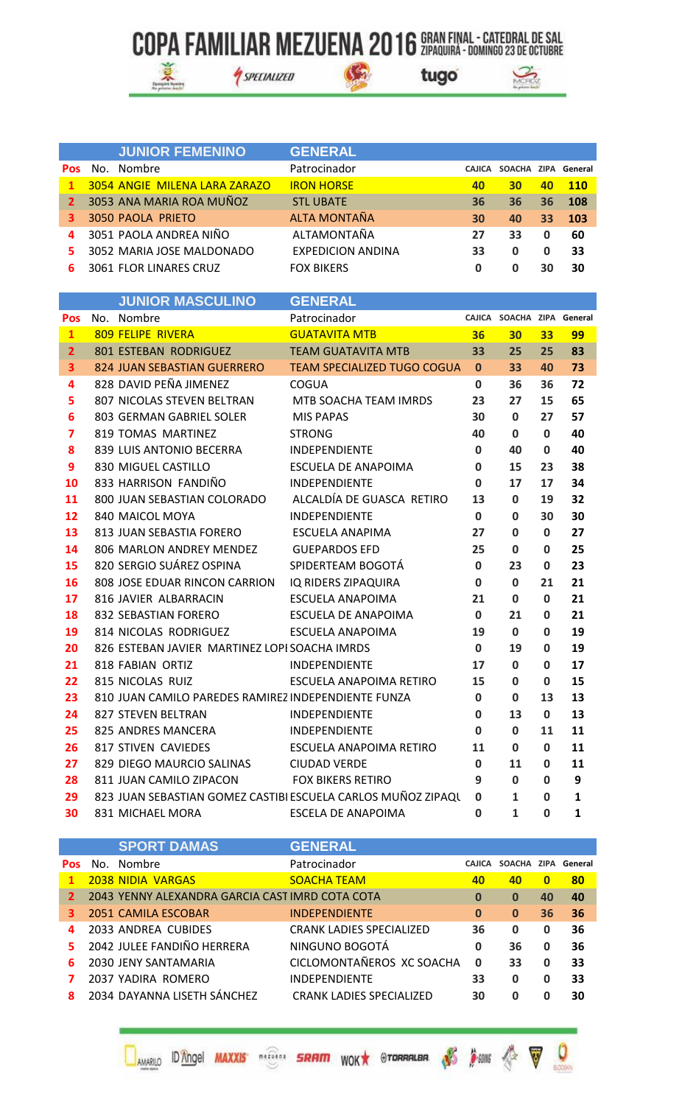SPECIALIZED

 $\mathcal{C}_2$ 





|     |     | <b>JUNIOR FEMENINO</b>        | <b>GENERAL</b>           |        |                     |    |     |
|-----|-----|-------------------------------|--------------------------|--------|---------------------|----|-----|
| Pos | No. | Nombre                        | Patrocinador             | CAJICA | SOACHA ZIPA General |    |     |
| 1   |     | 3054 ANGIE MILENA LARA ZARAZO | <b>IRON HORSE</b>        | 40     | 30                  | 40 | 110 |
| 2   |     | 3053 ANA MARIA ROA MUÑOZ      | <b>STL UBATE</b>         | 36     | 36                  | 36 | 108 |
| з.  |     | 3050 PAOLA PRIETO             | ALTA MONTAÑA             | 30     | 40                  | 33 | 103 |
| 4   |     | 3051 PAOLA ANDREA NIÑO        | ALTAMONTAÑA              | 27     | 33                  | 0  | 60  |
|     |     | 3052 MARIA JOSE MALDONADO     | <b>EXPEDICION ANDINA</b> | 33     | 0                   | 0  | 33  |
| 6.  |     | <b>3061 FLOR LINARES CRUZ</b> | <b>FOX BIKERS</b>        |        |                     | 30 | 30  |

|                         | <b>JUNIOK MASCULINO</b>                             | <u>GENERAL</u>                                               |              |                            |              |    |
|-------------------------|-----------------------------------------------------|--------------------------------------------------------------|--------------|----------------------------|--------------|----|
| Pos                     | No. Nombre                                          | Patrocinador                                                 |              | CAJICA SOACHA ZIPA General |              |    |
| $\mathbf{1}$            | <b>809 FELIPE RIVERA</b>                            | <b>GUATAVITA MTB</b>                                         | 36           | 30 <sub>2</sub>            | 33           | 99 |
| $\overline{2}$          | <b>801 ESTEBAN RODRIGUEZ</b>                        | <b>TEAM GUATAVITA MTB</b>                                    | 33           | 25                         | 25           | 83 |
| 3                       | 824 JUAN SEBASTIAN GUERRERO                         | <b>TEAM SPECIALIZED TUGO COGUA</b>                           | $\mathbf{0}$ | 33                         | 40           | 73 |
| 4                       | 828 DAVID PEÑA JIMENEZ                              | COGUA                                                        | $\bf{0}$     | 36                         | 36           | 72 |
| 5                       | 807 NICOLAS STEVEN BELTRAN                          | MTB SOACHA TEAM IMRDS                                        | 23           | 27                         | 15           | 65 |
| 6                       | 803 GERMAN GABRIEL SOLER                            | <b>MIS PAPAS</b>                                             | 30           | $\mathbf{0}$               | 27           | 57 |
| $\overline{\mathbf{z}}$ | 819 TOMAS MARTINEZ                                  | <b>STRONG</b>                                                | 40           | 0                          | $\mathbf 0$  | 40 |
| 8                       | 839 LUIS ANTONIO BECERRA                            | INDEPENDIENTE                                                | $\bf{0}$     | 40                         | $\mathbf{0}$ | 40 |
| 9                       | 830 MIGUEL CASTILLO                                 | <b>ESCUELA DE ANAPOIMA</b>                                   | $\mathbf 0$  | 15                         | 23           | 38 |
| 10                      | 833 HARRISON FANDIÑO                                | INDEPENDIENTE                                                | $\mathbf 0$  | 17                         | 17           | 34 |
| 11                      | 800 JUAN SEBASTIAN COLORADO                         | ALCALDÍA DE GUASCA RETIRO                                    | 13           | $\mathbf{0}$               | 19           | 32 |
| 12                      | 840 MAICOL MOYA                                     | <b>INDEPENDIENTE</b>                                         | $\mathbf 0$  | 0                          | 30           | 30 |
| 13                      | 813 JUAN SEBASTIA FORERO                            | <b>ESCUELA ANAPIMA</b>                                       | 27           | $\mathbf 0$                | 0            | 27 |
| 14                      | 806 MARLON ANDREY MENDEZ                            | <b>GUEPARDOS EFD</b>                                         | 25           | $\bf{0}$                   | $\mathbf 0$  | 25 |
| 15                      | 820 SERGIO SUÁREZ OSPINA                            | SPIDERTEAM BOGOTÁ                                            | $\mathbf 0$  | 23                         | 0            | 23 |
| 16                      | 808 JOSE EDUAR RINCON CARRION                       | IQ RIDERS ZIPAQUIRA                                          | $\bf{0}$     | $\mathbf 0$                | 21           | 21 |
| 17                      | 816 JAVIER ALBARRACIN                               | ESCUELA ANAPOIMA                                             | 21           | $\mathbf{0}$               | 0            | 21 |
| 18                      | 832 SEBASTIAN FORERO                                | ESCUELA DE ANAPOIMA                                          | $\mathbf 0$  | 21                         | 0            | 21 |
| 19                      | 814 NICOLAS RODRIGUEZ                               | ESCUELA ANAPOIMA                                             | 19           | $\mathbf{0}$               | 0            | 19 |
| 20                      | 826 ESTEBAN JAVIER MARTINEZ LOPI SOACHA IMRDS       |                                                              | $\mathbf 0$  | 19                         | $\mathbf 0$  | 19 |
| 21                      | 818 FABIAN ORTIZ                                    | INDEPENDIENTE                                                | 17           | $\mathbf 0$                | 0            | 17 |
| 22                      | 815 NICOLAS RUIZ                                    | ESCUELA ANAPOIMA RETIRO                                      | 15           | 0                          | $\mathbf 0$  | 15 |
| 23                      | 810 JUAN CAMILO PAREDES RAMIREZ INDEPENDIENTE FUNZA |                                                              | $\mathbf 0$  | $\mathbf{0}$               | 13           | 13 |
| 24                      | 827 STEVEN BELTRAN                                  | INDEPENDIENTE                                                | $\bf{0}$     | 13                         | $\mathbf 0$  | 13 |
| 25                      | 825 ANDRES MANCERA                                  | <b>INDEPENDIENTE</b>                                         | 0            | 0                          | 11           | 11 |
| 26                      | <b>817 STIVEN CAVIEDES</b>                          | ESCUELA ANAPOIMA RETIRO                                      | 11           | $\mathbf 0$                | $\mathbf 0$  | 11 |
| 27                      | 829 DIEGO MAURCIO SALINAS                           | <b>CIUDAD VERDE</b>                                          | $\mathbf 0$  | 11                         | 0            | 11 |
| 28                      | 811 JUAN CAMILO ZIPACON                             | <b>FOX BIKERS RETIRO</b>                                     | 9            | $\mathbf 0$                | $\mathbf 0$  | 9  |
| 29                      |                                                     | 823 JUAN SEBASTIAN GOMEZ CASTIBI ESCUELA CARLOS MUÑOZ ZIPAQU | $\mathbf 0$  | $\mathbf{1}$               | $\mathbf 0$  | 1  |
| 30                      | 831 MICHAEL MORA                                    | <b>ESCELA DE ANAPOIMA</b>                                    | $\bf{0}$     | 1                          | O            | 1  |

|            | <b>SPORT DAMAS</b>                              | <b>GENERAL</b>                  |               |               |             |         |
|------------|-------------------------------------------------|---------------------------------|---------------|---------------|-------------|---------|
| <b>Pos</b> | No. Nombre                                      | Patrocinador                    | <b>CAJICA</b> | <b>SOACHA</b> | ZIPA        | General |
| 1          | <b>2038 NIDIA VARGAS</b>                        | <b>SOACHA TEAM</b>              | 40            | 40            | $\bf{0}$    | 80      |
| 2          | 2043 YENNY ALEXANDRA GARCIA CAST IMRD COTA COTA |                                 | 0             | $\bf{0}$      | 40          | 40      |
| з.         | 2051 CAMILA ESCOBAR                             | <b>INDEPENDIENTE</b>            | $\mathbf 0$   | $\mathbf 0$   | 36          | 36      |
| 4          | 2033 ANDREA CUBIDES                             | <b>CRANK LADIES SPECIALIZED</b> | 36            | $\mathbf{0}$  | 0           | 36      |
| 5.         | 2042 JULEE FANDIÑO HERRERA                      | NINGUNO BOGOTÁ                  | 0             | 36            | $\mathbf 0$ | 36      |
| 6          | 2030 JENY SANTAMARIA                            | CICLOMONTAÑEROS XC SOACHA       | $\mathbf 0$   | 33            | 0           | 33      |
|            | 2037 YADIRA ROMERO                              | <b>INDEPENDIENTE</b>            | 33            | 0             | 0           | 33      |
|            | 2034 DAYANNA LISETH SÁNCHEZ                     | <b>CRANK LADIES SPECIALIZED</b> | 30            | <sup>0</sup>  | Ω           | 30      |

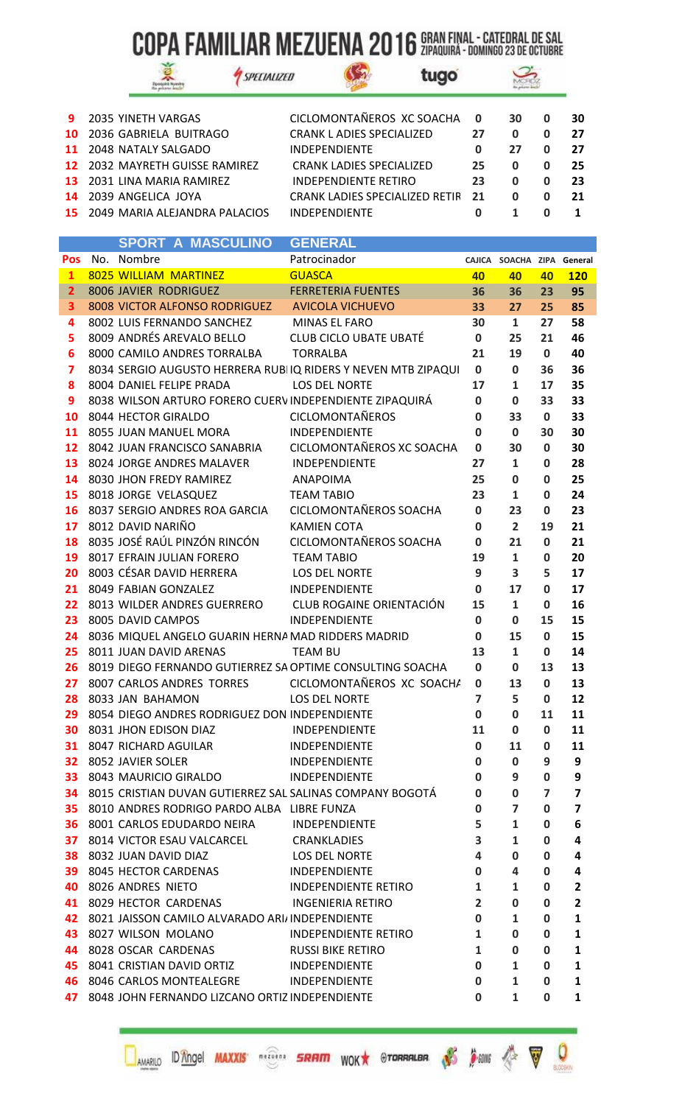$\mathbb{G}$ 



SPECIALIZED

tugo



| 9 2035 YINETH VARGAS                  | CICLOMONTAÑEROS XC SOACHA        | $\mathbf 0$ | 30 | 30 |
|---------------------------------------|----------------------------------|-------------|----|----|
| 10 2036 GABRIELA BUITRAGO             | <b>CRANK L ADIES SPECIALIZED</b> | 27          |    | 27 |
| 11 2048 NATALY SALGADO                | <b>INDEPENDIENTE</b>             |             | 27 | 27 |
| <b>12</b> 2032 MAYRETH GUISSE RAMIREZ | <b>CRANK LADIES SPECIALIZED</b>  | 25          | o  | 25 |
| 13 2031 LINA MARIA RAMIREZ            | INDEPENDIENTE RETIRO             | 23          |    | 23 |
| 14 2039 ANGELICA JOYA                 | CRANK LADIES SPECIALIZED RETIR   | 21          |    | 21 |
| 15 2049 MARIA ALEJANDRA PALACIOS      | <b>INDEPENDIENTE</b>             |             |    |    |

|                |                         | SPURI A MASCULINU                                  | GENERAL                                                       |                |                            |                |              |
|----------------|-------------------------|----------------------------------------------------|---------------------------------------------------------------|----------------|----------------------------|----------------|--------------|
| Pos            | No. Nombre              |                                                    | Patrocinador                                                  |                | CAJICA SOACHA ZIPA General |                |              |
| $\mathbf{1}$   |                         | 8025 WILLIAM MARTINEZ                              | <b>GUASCA</b>                                                 | 40             | 40                         | 40             | <b>120</b>   |
| $\overline{2}$ |                         | 8006 JAVIER RODRIGUEZ                              | <b>FERRETERIA FUENTES</b>                                     | 36             | 36                         | 23             | 95           |
| 3              |                         | 8008 VICTOR ALFONSO RODRIGUEZ AVICOLA VICHUEVO     |                                                               | 33             | 27                         | 25             | 85           |
| 4              |                         | 8002 LUIS FERNANDO SANCHEZ                         | MINAS EL FARO                                                 | 30             | $\mathbf{1}$               | 27             | 58           |
| 5              |                         | 8009 ANDRÉS AREVALO BELLO                          | <b>CLUB CICLO UBATE UBATÉ</b>                                 | 0              | 25                         | 21             | 46           |
| 6              |                         | 8000 CAMILO ANDRES TORRALBA                        | <b>TORRALBA</b>                                               | 21             | 19                         | $\mathbf{0}$   | 40           |
| 7              |                         |                                                    | 8034 SERGIO AUGUSTO HERRERA RUBIIQ RIDERS Y NEVEN MTB ZIPAQUI | $\mathbf 0$    | $\mathbf 0$                | 36             | 36           |
| 8              |                         | 8004 DANIEL FELIPE PRADA                           | <b>LOS DEL NORTE</b>                                          | 17             | 1                          | 17             | 35           |
| 9              |                         |                                                    | 8038 WILSON ARTURO FORERO CUERVINDEPENDIENTE ZIPAQUIRÁ        | $\mathbf 0$    | 0                          | 33             | 33           |
| 10             | 8044 HECTOR GIRALDO     |                                                    | <b>CICLOMONTAÑEROS</b>                                        | $\mathbf 0$    | 33                         | $\mathbf{0}$   | 33           |
| 11             |                         | 8055 JUAN MANUEL MORA                              | <b>INDEPENDIENTE</b>                                          | $\bf{0}$       | $\mathbf 0$                | 30             | 30           |
| 12             |                         | 8042 JUAN FRANCISCO SANABRIA                       | CICLOMONTAÑEROS XC SOACHA                                     | $\mathbf 0$    | 30                         | 0              | 30           |
| 13             |                         | 8024 JORGE ANDRES MALAVER                          | INDEPENDIENTE                                                 | 27             | $\mathbf{1}$               | 0              | 28           |
| 14             |                         | 8030 JHON FREDY RAMIREZ                            | <b>ANAPOIMA</b>                                               | 25             | $\mathbf 0$                | $\mathbf 0$    | 25           |
| 15             |                         | 8018 JORGE VELASQUEZ                               | <b>TEAM TABIO</b>                                             | 23             | 1                          | 0              | 24           |
| 16             |                         | 8037 SERGIO ANDRES ROA GARCIA                      | CICLOMONTAÑEROS SOACHA                                        | $\mathbf 0$    | 23                         | 0              | 23           |
| 17             | 8012 DAVID NARIÑO       |                                                    | <b>KAMIEN COTA</b>                                            | $\mathbf 0$    | $\overline{2}$             | 19             | 21           |
| 18             |                         | 8035 JOSÉ RAÚL PINZÓN RINCÓN                       | CICLOMONTAÑEROS SOACHA                                        | $\mathbf 0$    | 21                         | 0              | 21           |
| 19             |                         | 8017 EFRAIN JULIAN FORERO                          | <b>TEAM TABIO</b>                                             | 19             | $\mathbf{1}$               | 0              | 20           |
| 20             |                         | 8003 CÉSAR DAVID HERRERA                           | LOS DEL NORTE                                                 | 9              | 3                          | 5              | 17           |
| 21             |                         | 8049 FABIAN GONZALEZ                               | INDEPENDIENTE                                                 | $\mathbf 0$    | 17                         | $\mathbf 0$    | 17           |
| 22             |                         | 8013 WILDER ANDRES GUERRERO                        | CLUB ROGAINE ORIENTACIÓN                                      | 15             | $\mathbf{1}$               | 0              | 16           |
| 23             | 8005 DAVID CAMPOS       |                                                    | INDEPENDIENTE                                                 | $\mathbf 0$    | 0                          | 15             | 15           |
| 24             |                         | 8036 MIQUEL ANGELO GUARIN HERNA MAD RIDDERS MADRID |                                                               | $\mathbf 0$    | 15                         | $\mathbf 0$    | 15           |
| 25             |                         | 8011 JUAN DAVID ARENAS                             | <b>TEAM BU</b>                                                | 13             | $\mathbf{1}$               | 0              | 14           |
| 26             |                         |                                                    | 8019 DIEGO FERNANDO GUTIERREZ SA OPTIME CONSULTING SOACHA     | $\mathbf{0}$   | $\mathbf 0$                | 13             | 13           |
| 27             |                         |                                                    | 8007 CARLOS ANDRES TORRES CICLOMONTAÑEROS XC SOACHA           | $\mathbf{0}$   | 13                         | $\mathbf{0}$   | 13           |
| 28             | 8033 JAN BAHAMON        |                                                    | <b>LOS DEL NORTE</b>                                          | $\overline{7}$ | 5                          | $\mathbf 0$    | 12           |
| 29             |                         | 8054 DIEGO ANDRES RODRIGUEZ DON INDEPENDIENTE      |                                                               | 0              | 0                          | 11             | 11           |
| 30             |                         | 8031 JHON EDISON DIAZ                              | INDEPENDIENTE                                                 | 11             | 0                          | $\mathbf 0$    | 11           |
| 31             |                         | 8047 RICHARD AGUILAR                               | <b>INDEPENDIENTE</b>                                          | 0              | 11                         | 0              | 11           |
| 32             | 8052 JAVIER SOLER       |                                                    | <b>INDEPENDIENTE</b>                                          | 0              | 0                          | 9              | 9            |
| 33.            |                         | 8043 MAURICIO GIRALDO                              | <b>INDEPENDIENTE</b>                                          | 0              | 9                          | 0              | 9            |
|                |                         |                                                    | 34 8015 CRISTIAN DUVAN GUTIERREZ SAL SALINAS COMPANY BOGOTÁ   | $\mathbf 0$    | 0                          | $\overline{ }$ | 7            |
| 35             |                         | 8010 ANDRES RODRIGO PARDO ALBA LIBRE FUNZA         |                                                               | 0              | 7                          | 0              | 7            |
| 36             |                         | 8001 CARLOS EDUDARDO NEIRA                         | INDEPENDIENTE                                                 | 5              | 1                          | 0              | 6            |
|                |                         | 37 8014 VICTOR ESAU VALCARCEL                      | <b>CRANKLADIES</b>                                            | 3              | $\mathbf{1}$               | 0              | 4            |
|                | 38 8032 JUAN DAVID DIAZ |                                                    | <b>LOS DEL NORTE</b>                                          | 4              | 0                          | 0              | 4            |
| 39             |                         | 8045 HECTOR CARDENAS                               | <b>INDEPENDIENTE</b>                                          | 0              | 4                          | 0              | 4            |
| 40             | 8026 ANDRES NIETO       |                                                    | <b>INDEPENDIENTE RETIRO</b>                                   | 1              | 1                          | 0              | 2            |
|                |                         | 41 8029 HECTOR CARDENAS                            | INGENIERIA RETIRO                                             | $\overline{2}$ | $\mathbf 0$                | $\mathbf 0$    | $\mathbf{2}$ |
| 42             |                         | 8021 JAISSON CAMILO ALVARADO ARI/ INDEPENDIENTE    |                                                               | 0              | 1                          | 0              | 1            |
| 43             |                         | 8027 WILSON MOLANO                                 | <b>INDEPENDIENTE RETIRO</b>                                   | 1              | 0                          | 0              | 1            |
| 44             |                         | 8028 OSCAR CARDENAS                                | <b>RUSSI BIKE RETIRO</b>                                      | 1              | 0                          | 0              | 1            |
|                |                         | 45 8041 CRISTIAN DAVID ORTIZ                       | <b>INDEPENDIENTE</b>                                          | 0              | 1                          | 0              | 1            |
|                |                         | 46 8046 CARLOS MONTEALEGRE                         | <b>INDEPENDIENTE</b>                                          | 0              | 1                          | 0              | 1            |
| 47             |                         | 8048 JOHN FERNANDO LIZCANO ORTIZ INDEPENDIENTE     |                                                               | 0              | $\mathbf{1}$               | 0              | 1            |

**DAMARILO ID TOOR MAXXIS' SRIPT WOK** STORRALBA AS SANG A V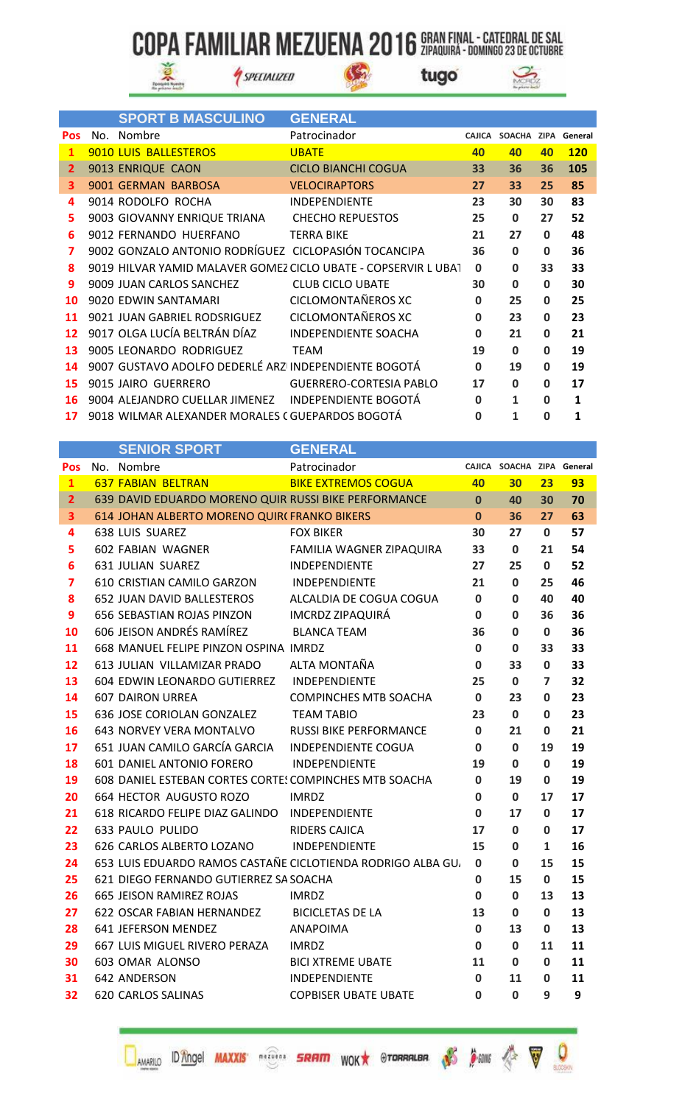S



SPECIALIZED



|                         | <b>SPORT B MASCULINO</b>                             | <b>GENERAL</b>                                                 |             |                            |              |            |
|-------------------------|------------------------------------------------------|----------------------------------------------------------------|-------------|----------------------------|--------------|------------|
| <b>Pos</b>              | No. Nombre                                           | Patrocinador                                                   |             | CAJICA SOACHA ZIPA General |              |            |
| $\mathbf{1}$            | 9010 LUIS BALLESTEROS                                | <b>UBATE</b>                                                   | 40          | 40                         | 40           | <b>120</b> |
| 2 <sup>1</sup>          | 9013 ENRIQUE CAON                                    | <b>CICLO BIANCHI COGUA</b>                                     | 33          | 36                         | 36           | 105        |
| $\overline{\mathbf{3}}$ | 9001 GERMAN BARBOSA                                  | <b>VELOCIRAPTORS</b>                                           | 27          | 33                         | 25           | 85         |
| 4                       | 9014 RODOLFO ROCHA                                   | <b>INDEPENDIENTE</b>                                           | 23          | 30                         | 30           | 83         |
| 5.                      | 9003 GIOVANNY ENRIQUE TRIANA CHECHO REPUESTOS        |                                                                | 25          | $\bf{0}$                   | 27           | 52         |
| 6                       | 9012 FERNANDO HUERFANO                               | <b>TERRA BIKE</b>                                              | 21          | 27                         | $\mathbf{0}$ | 48         |
| $\overline{\mathbf{z}}$ | 9002 GONZALO ANTONIO RODRÍGUEZ CICLOPASIÓN TOCANCIPA |                                                                | 36          | $\mathbf 0$                | $\bf{0}$     | 36         |
| 8                       |                                                      | 9019 HILVAR YAMID MALAVER GOMEZ CICLO UBATE - COPSERVIR L UBAT | $\mathbf 0$ | $\mathbf 0$                | 33           | 33         |
| 9                       | 9009 JUAN CARLOS SANCHEZ                             | <b>CLUB CICLO UBATE</b>                                        | 30          | $\mathbf 0$                | $\mathbf 0$  | 30         |
| 10                      | 9020 EDWIN SANTAMARI                                 | CICLOMONTAÑEROS XC                                             | $\mathbf 0$ | 25                         | 0            | 25         |
| 11                      | 9021 JUAN GABRIEL RODSRIGUEZ                         | CICLOMONTAÑEROS XC                                             | $\mathbf 0$ | 23                         | 0            | 23         |
| 12                      | 9017 OLGA LUCÍA BELTRÁN DÍAZ                         | <b>INDEPENDIENTE SOACHA</b>                                    | $\mathbf 0$ | 21                         | 0            | 21         |
| 13                      | 9005 LEONARDO RODRIGUEZ                              | TEAM                                                           | 19          | $\bf{0}$                   | 0            | 19         |
| 14                      | 9007 GUSTAVO ADOLFO DEDERLÉ ARZ INDEPENDIENTE BOGOTÁ |                                                                | $\mathbf 0$ | 19                         | $\mathbf 0$  | 19         |
| 15                      | 9015 JAIRO GUERRERO                                  | <b>GUERRERO-CORTESIA PABLO</b>                                 | 17          | $\mathbf 0$                | $\mathbf{0}$ | 17         |
| 16                      | 9004 ALEJANDRO CUELLAR JIMENEZ INDEPENDIENTE BOGOTÁ  |                                                                | 0           | 1                          | $\bf{0}$     | 1          |
| 17                      | 9018 WILMAR ALEXANDER MORALES (GUEPARDOS BOGOTÁ      |                                                                | 0           | 1                          | 0            | 1          |

|                         | <b>SENIOR SPORT</b>                                    | <b>GENERAL</b>                                             |              |                            |                |    |
|-------------------------|--------------------------------------------------------|------------------------------------------------------------|--------------|----------------------------|----------------|----|
| Pos                     | No. Nombre                                             | Patrocinador                                               |              | CAJICA SOACHA ZIPA General |                |    |
| $\mathbf{1}$            | <b>637 FABIAN BELTRAN</b>                              | <b>BIKE EXTREMOS COGUA</b>                                 | 40           | 30                         | 23             | 93 |
| $\overline{2}$          | 639 DAVID EDUARDO MORENO QUIR RUSSI BIKE PERFORMANCE   |                                                            | $\mathbf{0}$ | 40                         | 30             | 70 |
| $\overline{\mathbf{3}}$ | 614 JOHAN ALBERTO MORENO QUIR(FRANKO BIKERS            |                                                            | $\mathbf{0}$ | 36                         | 27             | 63 |
| 4                       | <b>638 LUIS SUAREZ</b>                                 | <b>FOX BIKER</b>                                           | 30           | 27                         | 0              | 57 |
| 5                       | 602 FABIAN WAGNER                                      | FAMILIA WAGNER ZIPAQUIRA                                   | 33           | 0                          | 21             | 54 |
| $6\phantom{1}6$         | 631 JULIAN SUAREZ                                      | INDEPENDIENTE                                              | 27           | 25                         | 0              | 52 |
| $\overline{\mathbf{z}}$ | 610 CRISTIAN CAMILO GARZON                             | INDEPENDIENTE                                              | 21           | $\mathbf 0$                | 25             | 46 |
| 8                       | 652 JUAN DAVID BALLESTEROS                             | ALCALDIA DE COGUA COGUA                                    | $\mathbf 0$  | 0                          | 40             | 40 |
| 9                       | <b>656 SEBASTIAN ROJAS PINZON</b>                      | <b>IMCRDZ ZIPAQUIRÁ</b>                                    | 0            | 0                          | 36             | 36 |
| 10                      | 606 JEISON ANDRÉS RAMÍREZ                              | <b>BLANCA TEAM</b>                                         | 36           | 0                          | 0              | 36 |
| 11                      | 668 MANUEL FELIPE PINZON OSPINA IMRDZ                  |                                                            | 0            | $\mathbf{0}$               | 33             | 33 |
| 12                      | 613 JULIAN VILLAMIZAR PRADO                            | ALTA MONTAÑA                                               | $\mathbf 0$  | 33                         | 0              | 33 |
| 13                      | 604 EDWIN LEONARDO GUTIERREZ                           | INDEPENDIENTE                                              | 25           | 0                          | $\overline{ }$ | 32 |
| 14                      | <b>607 DAIRON URREA</b>                                | <b>COMPINCHES MTB SOACHA</b>                               | $\mathbf 0$  | 23                         | 0              | 23 |
| 15                      | 636 JOSE CORIOLAN GONZALEZ                             | <b>TEAM TABIO</b>                                          | 23           | 0                          | 0              | 23 |
| 16                      | 643 NORVEY VERA MONTALVO                               | <b>RUSSI BIKE PERFORMANCE</b>                              | $\mathbf 0$  | 21                         | 0              | 21 |
| 17                      | 651 JUAN CAMILO GARCÍA GARCIA                          | <b>INDEPENDIENTE COGUA</b>                                 | 0            | $\mathbf 0$                | 19             | 19 |
| 18                      | 601 DANIEL ANTONIO FORERO                              | INDEPENDIENTE                                              | 19           | $\mathbf{0}$               | 0              | 19 |
| 19                      | 608 DANIEL ESTEBAN CORTES CORTES COMPINCHES MTB SOACHA |                                                            | 0            | 19                         | 0              | 19 |
| 20                      | 664 HECTOR AUGUSTO ROZO                                | <b>IMRDZ</b>                                               | 0            | $\mathbf{0}$               | 17             | 17 |
| 21                      | 618 RICARDO FELIPE DIAZ GALINDO INDEPENDIENTE          |                                                            | 0            | 17                         | 0              | 17 |
| 22                      | 633 PAULO PULIDO                                       | <b>RIDERS CAJICA</b>                                       | 17           | 0                          | 0              | 17 |
| 23                      | 626 CARLOS ALBERTO LOZANO                              | INDEPENDIENTE                                              | 15           | 0                          | 1              | 16 |
| 24                      |                                                        | 653 LUIS EDUARDO RAMOS CASTAÑE CICLOTIENDA RODRIGO ALBA GU | 0            | 0                          | 15             | 15 |
| 25                      | 621 DIEGO FERNANDO GUTIERREZ SA SOACHA                 |                                                            | 0            | 15                         | 0              | 15 |
| 26                      | <b>665 JEISON RAMIREZ ROJAS</b>                        | <b>IMRDZ</b>                                               | 0            | $\mathbf 0$                | 13             | 13 |
| 27                      | 622 OSCAR FABIAN HERNANDEZ                             | <b>BICICLETAS DE LA</b>                                    | 13           | 0                          | 0              | 13 |
| 28                      | 641 JEFERSON MENDEZ                                    | <b>ANAPOIMA</b>                                            | 0            | 13                         | 0              | 13 |
| 29                      | 667 LUIS MIGUEL RIVERO PERAZA                          | <b>IMRDZ</b>                                               | 0            | 0                          | 11             | 11 |
| 30                      | 603 OMAR ALONSO                                        | <b>BICI XTREME UBATE</b>                                   | 11           | 0                          | 0              | 11 |
| 31                      | 642 ANDERSON                                           | INDEPENDIENTE                                              | $\mathbf 0$  | 11                         | 0              | 11 |
| 32                      | 620 CARLOS SALINAS                                     | <b>COPBISER UBATE UBATE</b>                                | 0            | 0                          | 9              | 9  |